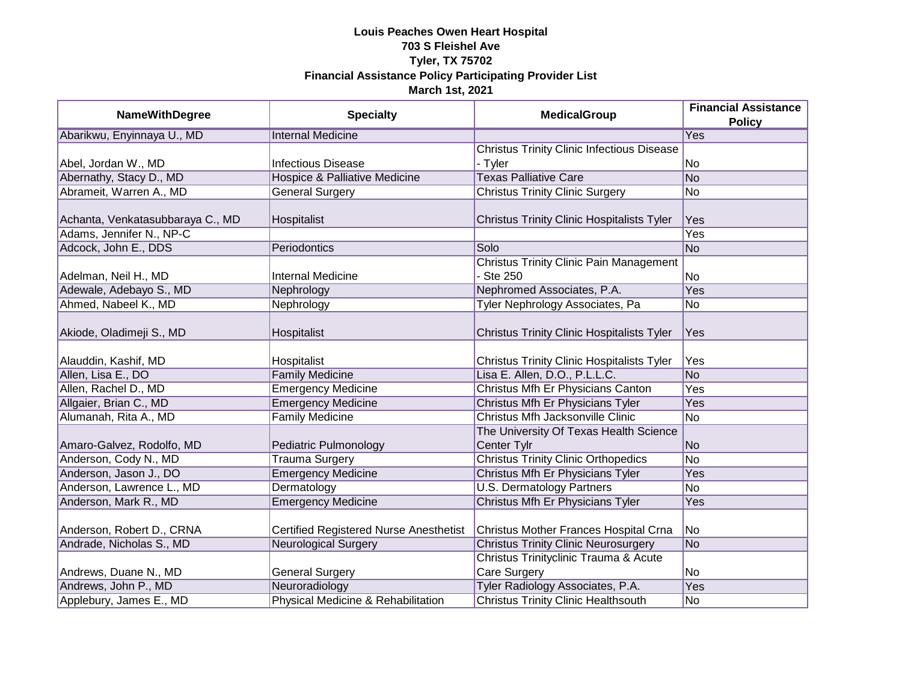| <b>NameWithDegree</b>            | <b>Specialty</b>                              | <b>MedicalGroup</b>                               | <b>Financial Assistance</b><br><b>Policy</b> |
|----------------------------------|-----------------------------------------------|---------------------------------------------------|----------------------------------------------|
| Abarikwu, Enyinnaya U., MD       | <b>Internal Medicine</b>                      |                                                   | <b>Yes</b>                                   |
|                                  |                                               | <b>Christus Trinity Clinic Infectious Disease</b> |                                              |
| Abel, Jordan W., MD              | <b>Infectious Disease</b>                     | - Tyler                                           | No                                           |
| Abernathy, Stacy D., MD          | <b>Hospice &amp; Palliative Medicine</b>      | <b>Texas Palliative Care</b>                      | $\overline{No}$                              |
| Abrameit, Warren A., MD          | <b>General Surgery</b>                        | <b>Christus Trinity Clinic Surgery</b>            | No                                           |
|                                  |                                               |                                                   |                                              |
| Achanta, Venkatasubbaraya C., MD | Hospitalist                                   | Christus Trinity Clinic Hospitalists Tyler        | Yes                                          |
| Adams, Jennifer N., NP-C         |                                               |                                                   | Yes                                          |
| Adcock, John E., DDS             | Periodontics                                  | Solo                                              | <b>No</b>                                    |
|                                  |                                               | <b>Christus Trinity Clinic Pain Management</b>    |                                              |
| Adelman, Neil H., MD             | <b>Internal Medicine</b>                      | - Ste 250                                         | <b>No</b>                                    |
| Adewale, Adebayo S., MD          | Nephrology                                    | Nephromed Associates, P.A.                        | Yes                                          |
| Ahmed, Nabeel K., MD             | Nephrology                                    | Tyler Nephrology Associates, Pa                   | No                                           |
| Akiode, Oladimeji S., MD         | Hospitalist                                   | <b>Christus Trinity Clinic Hospitalists Tyler</b> | Yes                                          |
| Alauddin, Kashif, MD             | Hospitalist                                   | <b>Christus Trinity Clinic Hospitalists Tyler</b> | Yes                                          |
| Allen, Lisa E., DO               | <b>Family Medicine</b>                        | Lisa E. Allen, D.O., P.L.L.C.                     | <b>No</b>                                    |
| Allen, Rachel D., MD             | <b>Emergency Medicine</b>                     | Christus Mfh Er Physicians Canton                 | Yes                                          |
| Allgaier, Brian C., MD           | <b>Emergency Medicine</b>                     | Christus Mfh Er Physicians Tyler                  | Yes                                          |
| Alumanah, Rita A., MD            | <b>Family Medicine</b>                        | Christus Mfh Jacksonville Clinic                  | $\overline{No}$                              |
|                                  |                                               | The University Of Texas Health Science            |                                              |
| Amaro-Galvez, Rodolfo, MD        | Pediatric Pulmonology                         | Center Tylr                                       | <b>No</b>                                    |
| Anderson, Cody N., MD            | <b>Trauma Surgery</b>                         | <b>Christus Trinity Clinic Orthopedics</b>        | $\overline{No}$                              |
| Anderson, Jason J., DO           | <b>Emergency Medicine</b>                     | Christus Mfh Er Physicians Tyler                  | Yes                                          |
| Anderson, Lawrence L., MD        | Dermatology                                   | <b>U.S. Dermatology Partners</b>                  | No                                           |
| Anderson, Mark R., MD            | <b>Emergency Medicine</b>                     | Christus Mfh Er Physicians Tyler                  | Yes                                          |
|                                  |                                               |                                                   |                                              |
| Anderson, Robert D., CRNA        | <b>Certified Registered Nurse Anesthetist</b> | Christus Mother Frances Hospital Crna             | No                                           |
| Andrade, Nicholas S., MD         | <b>Neurological Surgery</b>                   | <b>Christus Trinity Clinic Neurosurgery</b>       | <b>No</b>                                    |
|                                  |                                               | Christus Trinityclinic Trauma & Acute             |                                              |
| Andrews, Duane N., MD            | <b>General Surgery</b>                        | Care Surgery                                      | No                                           |
| Andrews, John P., MD             | Neuroradiology                                | Tyler Radiology Associates, P.A.                  | <b>Yes</b>                                   |
| Applebury, James E., MD          | Physical Medicine & Rehabilitation            | <b>Christus Trinity Clinic Healthsouth</b>        | No                                           |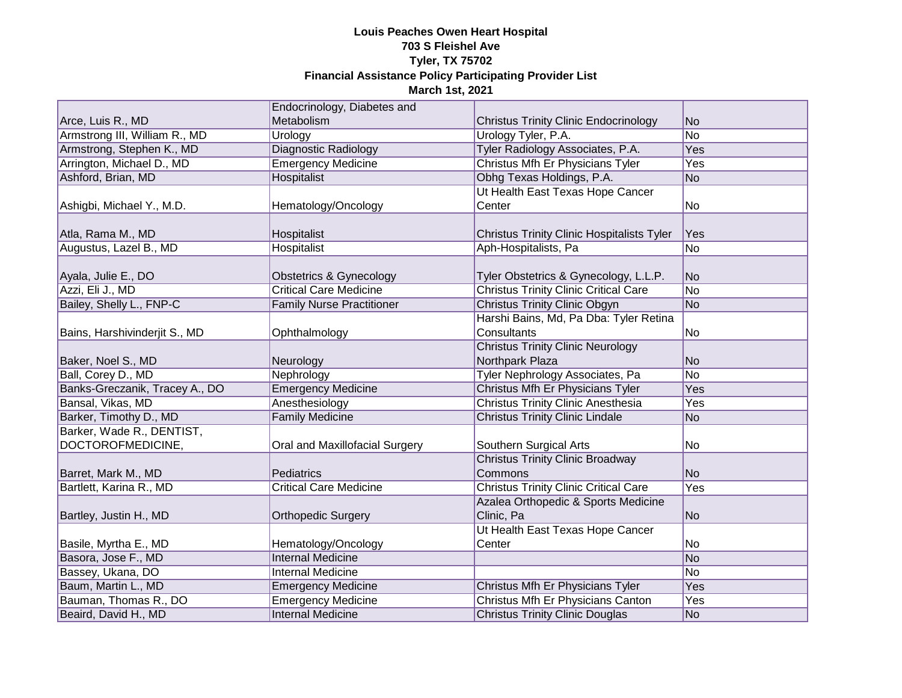|                                | Endocrinology, Diabetes and      |                                                   |                 |
|--------------------------------|----------------------------------|---------------------------------------------------|-----------------|
| Arce, Luis R., MD              | Metabolism                       | <b>Christus Trinity Clinic Endocrinology</b>      | <b>No</b>       |
| Armstrong III, William R., MD  | Urology                          | Urology Tyler, P.A.                               | $\overline{No}$ |
| Armstrong, Stephen K., MD      | Diagnostic Radiology             | Tyler Radiology Associates, P.A.                  | <b>Yes</b>      |
| Arrington, Michael D., MD      | <b>Emergency Medicine</b>        | Christus Mfh Er Physicians Tyler                  | Yes             |
| Ashford, Brian, MD             | <b>Hospitalist</b>               | Obhg Texas Holdings, P.A.                         | <b>No</b>       |
|                                |                                  | Ut Health East Texas Hope Cancer                  |                 |
| Ashigbi, Michael Y., M.D.      | Hematology/Oncology              | Center                                            | No              |
|                                |                                  |                                                   |                 |
| Atla, Rama M., MD              | Hospitalist                      | <b>Christus Trinity Clinic Hospitalists Tyler</b> | Yes             |
| Augustus, Lazel B., MD         | Hospitalist                      | Aph-Hospitalists, Pa                              | <b>No</b>       |
|                                |                                  |                                                   |                 |
| Ayala, Julie E., DO            | Obstetrics & Gynecology          | Tyler Obstetrics & Gynecology, L.L.P.             | <b>No</b>       |
| Azzi, Eli J., MD               | <b>Critical Care Medicine</b>    | <b>Christus Trinity Clinic Critical Care</b>      | <b>No</b>       |
| Bailey, Shelly L., FNP-C       | <b>Family Nurse Practitioner</b> | <b>Christus Trinity Clinic Obgyn</b>              | No              |
|                                |                                  | Harshi Bains, Md, Pa Dba: Tyler Retina            |                 |
| Bains, Harshivinderjit S., MD  | Ophthalmology                    | Consultants                                       | No              |
|                                |                                  | <b>Christus Trinity Clinic Neurology</b>          |                 |
| Baker, Noel S., MD             | Neurology                        | Northpark Plaza                                   | <b>No</b>       |
| Ball, Corey D., MD             | Nephrology                       | Tyler Nephrology Associates, Pa                   | $\overline{No}$ |
| Banks-Greczanik, Tracey A., DO | <b>Emergency Medicine</b>        | Christus Mfh Er Physicians Tyler                  | Yes             |
| Bansal, Vikas, MD              | Anesthesiology                   | <b>Christus Trinity Clinic Anesthesia</b>         | Yes             |
| Barker, Timothy D., MD         | <b>Family Medicine</b>           | <b>Christus Trinity Clinic Lindale</b>            | <b>No</b>       |
| Barker, Wade R., DENTIST,      |                                  |                                                   |                 |
| DOCTOROFMEDICINE,              | Oral and Maxillofacial Surgery   | Southern Surgical Arts                            | No              |
|                                |                                  | <b>Christus Trinity Clinic Broadway</b>           |                 |
| Barret, Mark M., MD            | Pediatrics                       | Commons                                           | <b>No</b>       |
| Bartlett, Karina R., MD        | <b>Critical Care Medicine</b>    | <b>Christus Trinity Clinic Critical Care</b>      | Yes             |
|                                |                                  | Azalea Orthopedic & Sports Medicine               |                 |
| Bartley, Justin H., MD         | <b>Orthopedic Surgery</b>        | Clinic, Pa                                        | <b>No</b>       |
|                                |                                  | Ut Health East Texas Hope Cancer                  |                 |
| Basile, Myrtha E., MD          | Hematology/Oncology              | Center                                            | No              |
| Basora, Jose F., MD            | <b>Internal Medicine</b>         |                                                   | No              |
| Bassey, Ukana, DO              | <b>Internal Medicine</b>         |                                                   | No              |
| Baum, Martin L., MD            | <b>Emergency Medicine</b>        | Christus Mfh Er Physicians Tyler                  | <b>Yes</b>      |
| Bauman, Thomas R., DO          | <b>Emergency Medicine</b>        | Christus Mfh Er Physicians Canton                 | Yes             |
| Beaird, David H., MD           | <b>Internal Medicine</b>         | <b>Christus Trinity Clinic Douglas</b>            | N <sub>o</sub>  |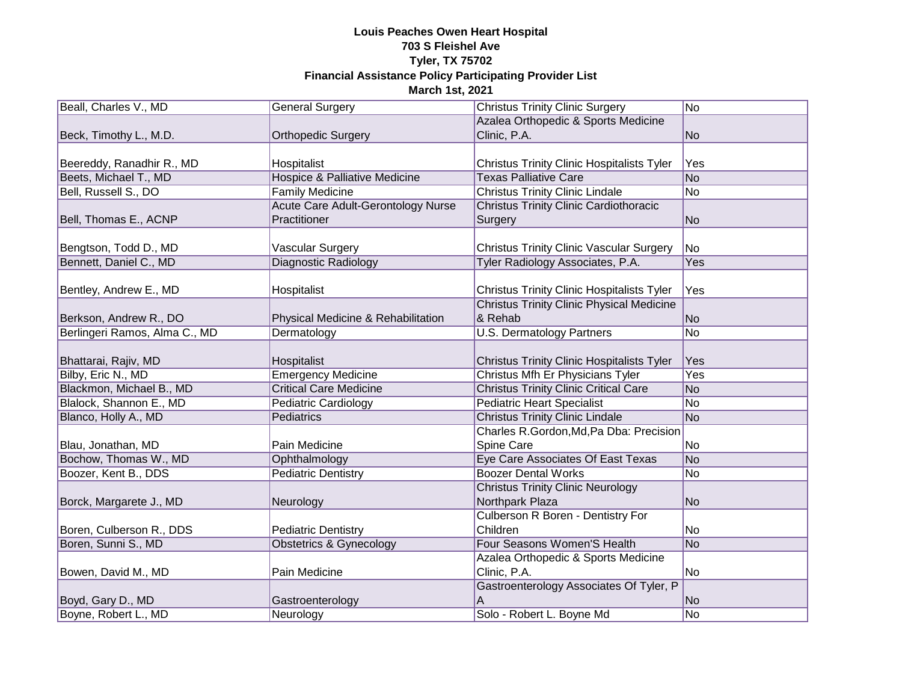| Beall, Charles V., MD         | <b>General Surgery</b>                   | <b>Christus Trinity Clinic Surgery</b>            | N <sub>o</sub> |
|-------------------------------|------------------------------------------|---------------------------------------------------|----------------|
|                               |                                          | Azalea Orthopedic & Sports Medicine               |                |
| Beck, Timothy L., M.D.        | <b>Orthopedic Surgery</b>                | Clinic, P.A.                                      | N <sub>o</sub> |
|                               |                                          |                                                   |                |
| Beereddy, Ranadhir R., MD     | Hospitalist                              | <b>Christus Trinity Clinic Hospitalists Tyler</b> | Yes            |
| Beets, Michael T., MD         | <b>Hospice &amp; Palliative Medicine</b> | <b>Texas Palliative Care</b>                      | N <sub>o</sub> |
| Bell, Russell S., DO          | <b>Family Medicine</b>                   | <b>Christus Trinity Clinic Lindale</b>            | N <sub>o</sub> |
|                               | Acute Care Adult-Gerontology Nurse       | <b>Christus Trinity Clinic Cardiothoracic</b>     |                |
| Bell, Thomas E., ACNP         | Practitioner                             | Surgery                                           | No             |
|                               |                                          |                                                   |                |
| Bengtson, Todd D., MD         | <b>Vascular Surgery</b>                  | <b>Christus Trinity Clinic Vascular Surgery</b>   | No             |
| Bennett, Daniel C., MD        | <b>Diagnostic Radiology</b>              | Tyler Radiology Associates, P.A.                  | Yes            |
|                               |                                          |                                                   |                |
| Bentley, Andrew E., MD        | Hospitalist                              | <b>Christus Trinity Clinic Hospitalists Tyler</b> | Yes            |
|                               |                                          | <b>Christus Trinity Clinic Physical Medicine</b>  |                |
| Berkson, Andrew R., DO        | Physical Medicine & Rehabilitation       | & Rehab                                           | N <sub>o</sub> |
| Berlingeri Ramos, Alma C., MD | Dermatology                              | <b>U.S. Dermatology Partners</b>                  | N <sub>o</sub> |
|                               |                                          |                                                   |                |
| Bhattarai, Rajiv, MD          | Hospitalist                              | <b>Christus Trinity Clinic Hospitalists Tyler</b> | Yes            |
| Bilby, Eric N., MD            | <b>Emergency Medicine</b>                | Christus Mfh Er Physicians Tyler                  | Yes            |
| Blackmon, Michael B., MD      | <b>Critical Care Medicine</b>            | <b>Christus Trinity Clinic Critical Care</b>      | <b>No</b>      |
| Blalock, Shannon E., MD       | <b>Pediatric Cardiology</b>              | <b>Pediatric Heart Specialist</b>                 | No             |
| Blanco, Holly A., MD          | Pediatrics                               | <b>Christus Trinity Clinic Lindale</b>            | N <sub>o</sub> |
|                               |                                          | Charles R.Gordon, Md, Pa Dba: Precision           |                |
| Blau, Jonathan, MD            | Pain Medicine                            | Spine Care                                        | No             |
| Bochow, Thomas W., MD         | Ophthalmology                            | Eye Care Associates Of East Texas                 | No             |
| Boozer, Kent B., DDS          | <b>Pediatric Dentistry</b>               | <b>Boozer Dental Works</b>                        | N <sub>o</sub> |
|                               |                                          | <b>Christus Trinity Clinic Neurology</b>          |                |
| Borck, Margarete J., MD       | Neurology                                | Northpark Plaza                                   | N <sub>o</sub> |
|                               |                                          | Culberson R Boren - Dentistry For                 |                |
| Boren, Culberson R., DDS      | <b>Pediatric Dentistry</b>               | Children                                          | No             |
| Boren, Sunni S., MD           | Obstetrics & Gynecology                  | Four Seasons Women'S Health                       | N <sub>o</sub> |
|                               |                                          | Azalea Orthopedic & Sports Medicine               |                |
| Bowen, David M., MD           | Pain Medicine                            | Clinic, P.A.                                      | No             |
|                               |                                          | Gastroenterology Associates Of Tyler, P           |                |
| Boyd, Gary D., MD             | Gastroenterology                         | Α                                                 | N <sub>o</sub> |
| Boyne, Robert L., MD          | Neurology                                | Solo - Robert L. Boyne Md                         | No             |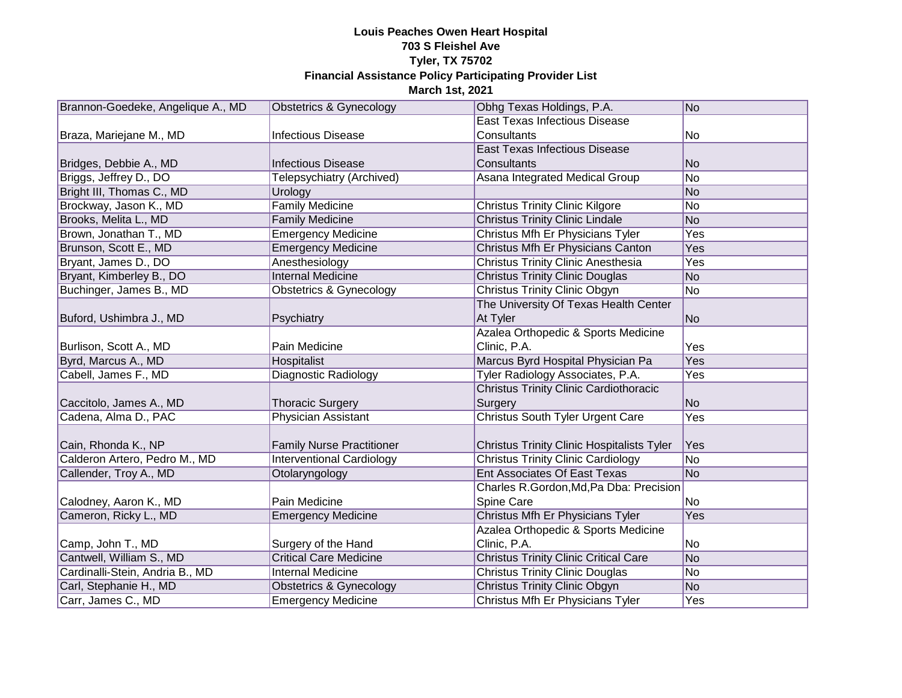| Brannon-Goedeke, Angelique A., MD | <b>Obstetrics &amp; Gynecology</b> | Obhg Texas Holdings, P.A.                         | No             |
|-----------------------------------|------------------------------------|---------------------------------------------------|----------------|
|                                   |                                    | <b>East Texas Infectious Disease</b>              |                |
| Braza, Mariejane M., MD           | <b>Infectious Disease</b>          | Consultants                                       | No             |
|                                   |                                    | <b>East Texas Infectious Disease</b>              |                |
| Bridges, Debbie A., MD            | <b>Infectious Disease</b>          | Consultants                                       | N <sub>o</sub> |
| Briggs, Jeffrey D., DO            | Telepsychiatry (Archived)          | Asana Integrated Medical Group                    | No             |
| Bright III, Thomas C., MD         | Urology                            |                                                   | No             |
| Brockway, Jason K., MD            | <b>Family Medicine</b>             | <b>Christus Trinity Clinic Kilgore</b>            | No             |
| Brooks, Melita L., MD             | <b>Family Medicine</b>             | <b>Christus Trinity Clinic Lindale</b>            | N <sub>o</sub> |
| Brown, Jonathan T., MD            | <b>Emergency Medicine</b>          | Christus Mfh Er Physicians Tyler                  | Yes            |
| Brunson, Scott E., MD             | <b>Emergency Medicine</b>          | Christus Mfh Er Physicians Canton                 | Yes            |
| Bryant, James D., DO              | Anesthesiology                     | <b>Christus Trinity Clinic Anesthesia</b>         | Yes            |
| Bryant, Kimberley B., DO          | <b>Internal Medicine</b>           | <b>Christus Trinity Clinic Douglas</b>            | <b>No</b>      |
| Buchinger, James B., MD           | <b>Obstetrics &amp; Gynecology</b> | <b>Christus Trinity Clinic Obgyn</b>              | No             |
|                                   |                                    | The University Of Texas Health Center             |                |
| Buford, Ushimbra J., MD           | Psychiatry                         | At Tyler                                          | N <sub>o</sub> |
|                                   |                                    | Azalea Orthopedic & Sports Medicine               |                |
| Burlison, Scott A., MD            | Pain Medicine                      | Clinic, P.A.                                      | Yes            |
| Byrd, Marcus A., MD               | Hospitalist                        | Marcus Byrd Hospital Physician Pa                 | Yes            |
| Cabell, James F., MD              | Diagnostic Radiology               | Tyler Radiology Associates, P.A.                  | Yes            |
|                                   |                                    | <b>Christus Trinity Clinic Cardiothoracic</b>     |                |
| Caccitolo, James A., MD           | <b>Thoracic Surgery</b>            | Surgery                                           | <b>No</b>      |
| Cadena, Alma D., PAC              | <b>Physician Assistant</b>         | <b>Christus South Tyler Urgent Care</b>           | Yes            |
|                                   |                                    |                                                   |                |
| Cain, Rhonda K., NP               | <b>Family Nurse Practitioner</b>   | <b>Christus Trinity Clinic Hospitalists Tyler</b> | Yes            |
| Calderon Artero, Pedro M., MD     | <b>Interventional Cardiology</b>   | <b>Christus Trinity Clinic Cardiology</b>         | <b>No</b>      |
| Callender, Troy A., MD            | Otolaryngology                     | <b>Ent Associates Of East Texas</b>               | N <sub>o</sub> |
|                                   |                                    | Charles R.Gordon, Md, Pa Dba: Precision           |                |
| Calodney, Aaron K., MD            | Pain Medicine                      | Spine Care                                        | No             |
| Cameron, Ricky L., MD             | <b>Emergency Medicine</b>          | Christus Mfh Er Physicians Tyler                  | Yes            |
|                                   |                                    | Azalea Orthopedic & Sports Medicine               |                |
| Camp, John T., MD                 | Surgery of the Hand                | Clinic, P.A.                                      | No             |
| Cantwell, William S., MD          | <b>Critical Care Medicine</b>      | <b>Christus Trinity Clinic Critical Care</b>      | No             |
| Cardinalli-Stein, Andria B., MD   | <b>Internal Medicine</b>           | <b>Christus Trinity Clinic Douglas</b>            | No             |
| Carl, Stephanie H., MD            | <b>Obstetrics &amp; Gynecology</b> | <b>Christus Trinity Clinic Obgyn</b>              | N <sub>o</sub> |
| Carr, James C., MD                | <b>Emergency Medicine</b>          | Christus Mfh Er Physicians Tyler                  | Yes            |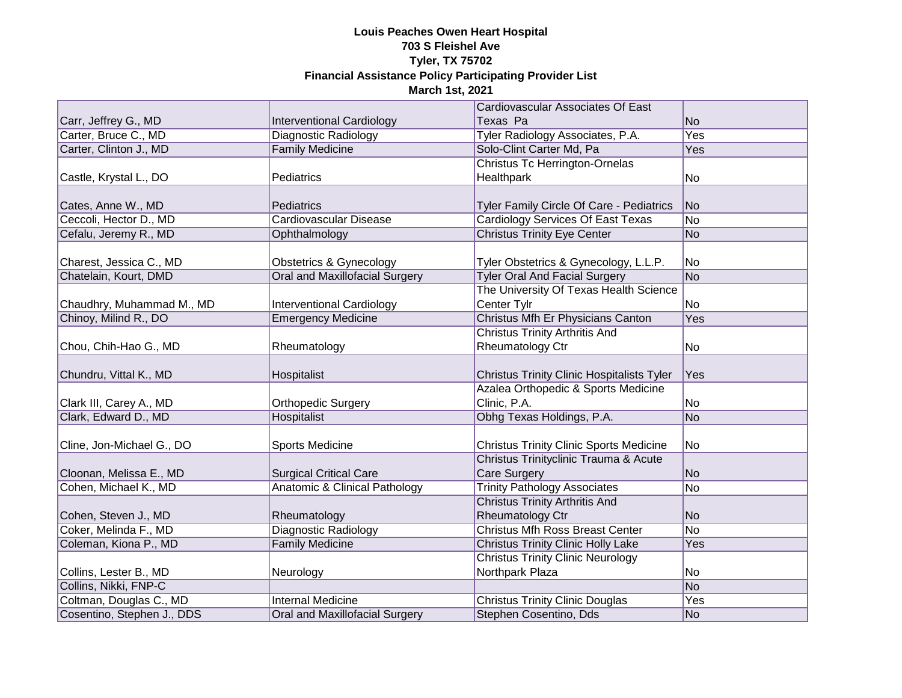|                            |                                    | Cardiovascular Associates Of East                 |                 |
|----------------------------|------------------------------------|---------------------------------------------------|-----------------|
| Carr, Jeffrey G., MD       | <b>Interventional Cardiology</b>   | Texas Pa                                          | <b>No</b>       |
| Carter, Bruce C., MD       | Diagnostic Radiology               | Tyler Radiology Associates, P.A.                  | <b>Yes</b>      |
| Carter, Clinton J., MD     | <b>Family Medicine</b>             | Solo-Clint Carter Md, Pa                          | Yes             |
|                            |                                    | <b>Christus Tc Herrington-Ornelas</b>             |                 |
| Castle, Krystal L., DO     | Pediatrics                         | Healthpark                                        | No              |
|                            |                                    |                                                   |                 |
| Cates, Anne W., MD         | Pediatrics                         | Tyler Family Circle Of Care - Pediatrics          | <b>No</b>       |
| Ceccoli, Hector D., MD     | Cardiovascular Disease             | <b>Cardiology Services Of East Texas</b>          | $\overline{No}$ |
| Cefalu, Jeremy R., MD      | Ophthalmology                      | <b>Christus Trinity Eye Center</b>                | <b>No</b>       |
|                            |                                    |                                                   |                 |
| Charest, Jessica C., MD    | <b>Obstetrics &amp; Gynecology</b> | Tyler Obstetrics & Gynecology, L.L.P.             | No              |
| Chatelain, Kourt, DMD      | Oral and Maxillofacial Surgery     | <b>Tyler Oral And Facial Surgery</b>              | <b>No</b>       |
|                            |                                    | The University Of Texas Health Science            |                 |
| Chaudhry, Muhammad M., MD  | <b>Interventional Cardiology</b>   | Center Tylr                                       | No              |
| Chinoy, Milind R., DO      | <b>Emergency Medicine</b>          | Christus Mfh Er Physicians Canton                 | Yes             |
|                            |                                    | <b>Christus Trinity Arthritis And</b>             |                 |
| Chou, Chih-Hao G., MD      | Rheumatology                       | Rheumatology Ctr                                  | No              |
|                            |                                    |                                                   |                 |
| Chundru, Vittal K., MD     | Hospitalist                        | <b>Christus Trinity Clinic Hospitalists Tyler</b> | Yes             |
|                            |                                    | Azalea Orthopedic & Sports Medicine               |                 |
| Clark III, Carey A., MD    | <b>Orthopedic Surgery</b>          | Clinic, P.A.                                      | No              |
| Clark, Edward D., MD       | Hospitalist                        | Obhg Texas Holdings, P.A.                         | <b>No</b>       |
| Cline, Jon-Michael G., DO  | Sports Medicine                    | <b>Christus Trinity Clinic Sports Medicine</b>    | No              |
|                            |                                    | Christus Trinityclinic Trauma & Acute             |                 |
| Cloonan, Melissa E., MD    | <b>Surgical Critical Care</b>      | <b>Care Surgery</b>                               | <b>No</b>       |
| Cohen, Michael K., MD      | Anatomic & Clinical Pathology      | <b>Trinity Pathology Associates</b>               | <b>No</b>       |
|                            |                                    | <b>Christus Trinity Arthritis And</b>             |                 |
| Cohen, Steven J., MD       | Rheumatology                       | Rheumatology Ctr                                  | <b>No</b>       |
| Coker, Melinda F., MD      | <b>Diagnostic Radiology</b>        | <b>Christus Mfh Ross Breast Center</b>            | <b>No</b>       |
| Coleman, Kiona P., MD      | <b>Family Medicine</b>             | <b>Christus Trinity Clinic Holly Lake</b>         | Yes             |
|                            |                                    | <b>Christus Trinity Clinic Neurology</b>          |                 |
| Collins, Lester B., MD     | Neurology                          | Northpark Plaza                                   | No              |
| Collins, Nikki, FNP-C      |                                    |                                                   | No              |
| Coltman, Douglas C., MD    | <b>Internal Medicine</b>           | <b>Christus Trinity Clinic Douglas</b>            | Yes             |
| Cosentino, Stephen J., DDS | Oral and Maxillofacial Surgery     | Stephen Cosentino, Dds                            | No              |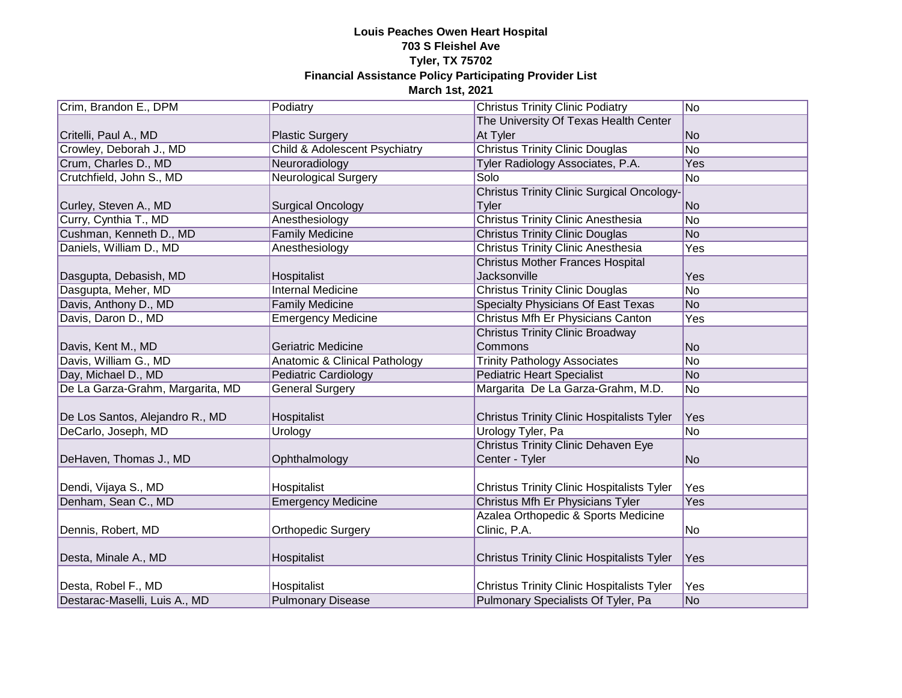| Crim, Brandon E., DPM            | Podiatry                                 | <b>Christus Trinity Clinic Podiatry</b>           | N <sub>o</sub>  |
|----------------------------------|------------------------------------------|---------------------------------------------------|-----------------|
|                                  |                                          | The University Of Texas Health Center             |                 |
| Critelli, Paul A., MD            | <b>Plastic Surgery</b>                   | At Tyler                                          | No              |
| Crowley, Deborah J., MD          | <b>Child &amp; Adolescent Psychiatry</b> | <b>Christus Trinity Clinic Douglas</b>            | N <sub>o</sub>  |
| Crum, Charles D., MD             | Neuroradiology                           | Tyler Radiology Associates, P.A.                  | Yes             |
| Crutchfield, John S., MD         | <b>Neurological Surgery</b>              | Solo                                              | No.             |
|                                  |                                          | <b>Christus Trinity Clinic Surgical Oncology-</b> |                 |
| Curley, Steven A., MD            | <b>Surgical Oncology</b>                 | Tyler                                             | No              |
| Curry, Cynthia T., MD            | Anesthesiology                           | <b>Christus Trinity Clinic Anesthesia</b>         | N <sub>o</sub>  |
| Cushman, Kenneth D., MD          | <b>Family Medicine</b>                   | <b>Christus Trinity Clinic Douglas</b>            | <b>No</b>       |
| Daniels, William D., MD          | Anesthesiology                           | <b>Christus Trinity Clinic Anesthesia</b>         | Yes             |
|                                  |                                          | <b>Christus Mother Frances Hospital</b>           |                 |
| Dasgupta, Debasish, MD           | Hospitalist                              | <b>Jacksonville</b>                               | Yes             |
| Dasgupta, Meher, MD              | <b>Internal Medicine</b>                 | <b>Christus Trinity Clinic Douglas</b>            | $\overline{No}$ |
| Davis, Anthony D., MD            | <b>Family Medicine</b>                   | <b>Specialty Physicians Of East Texas</b>         | <b>No</b>       |
| Davis, Daron D., MD              | <b>Emergency Medicine</b>                | Christus Mfh Er Physicians Canton                 | Yes             |
|                                  |                                          | <b>Christus Trinity Clinic Broadway</b>           |                 |
| Davis, Kent M., MD               | <b>Geriatric Medicine</b>                | Commons                                           | N <sub>o</sub>  |
| Davis, William G., MD            | Anatomic & Clinical Pathology            | <b>Trinity Pathology Associates</b>               | No              |
| Day, Michael D., MD              | <b>Pediatric Cardiology</b>              | <b>Pediatric Heart Specialist</b>                 | No              |
| De La Garza-Grahm, Margarita, MD | <b>General Surgery</b>                   | Margarita De La Garza-Grahm, M.D.                 | N <sub>o</sub>  |
|                                  |                                          |                                                   |                 |
| De Los Santos, Alejandro R., MD  | Hospitalist                              | <b>Christus Trinity Clinic Hospitalists Tyler</b> | Yes             |
| DeCarlo, Joseph, MD              | Urology                                  | Urology Tyler, Pa                                 | <b>No</b>       |
|                                  |                                          | <b>Christus Trinity Clinic Dehaven Eye</b>        |                 |
| DeHaven, Thomas J., MD           | Ophthalmology                            | Center - Tyler                                    | N <sub>o</sub>  |
|                                  |                                          |                                                   |                 |
| Dendi, Vijaya S., MD             | Hospitalist                              | <b>Christus Trinity Clinic Hospitalists Tyler</b> | Yes             |
| Denham, Sean C., MD              | <b>Emergency Medicine</b>                | Christus Mfh Er Physicians Tyler                  | Yes             |
|                                  |                                          | Azalea Orthopedic & Sports Medicine               |                 |
| Dennis, Robert, MD               | <b>Orthopedic Surgery</b>                | Clinic, P.A.                                      | No              |
|                                  |                                          |                                                   |                 |
| Desta, Minale A., MD             | Hospitalist                              | <b>Christus Trinity Clinic Hospitalists Tyler</b> | Yes             |
|                                  |                                          |                                                   |                 |
| Desta, Robel F., MD              | Hospitalist                              | <b>Christus Trinity Clinic Hospitalists Tyler</b> | Yes             |
| Destarac-Maselli, Luis A., MD    | <b>Pulmonary Disease</b>                 | Pulmonary Specialists Of Tyler, Pa                | No              |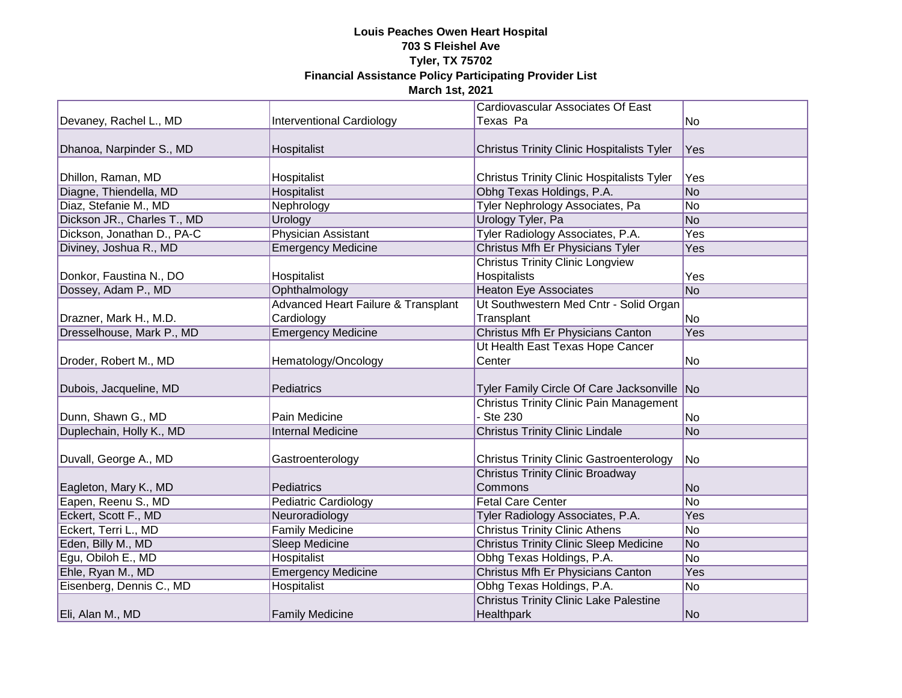|                             |                                                | Cardiovascular Associates Of East                 |                 |
|-----------------------------|------------------------------------------------|---------------------------------------------------|-----------------|
| Devaney, Rachel L., MD      | <b>Interventional Cardiology</b>               | Texas Pa                                          | No              |
|                             |                                                |                                                   |                 |
| Dhanoa, Narpinder S., MD    | Hospitalist                                    | <b>Christus Trinity Clinic Hospitalists Tyler</b> | Yes             |
|                             |                                                |                                                   |                 |
| Dhillon, Raman, MD          | Hospitalist                                    | <b>Christus Trinity Clinic Hospitalists Tyler</b> | Yes             |
| Diagne, Thiendella, MD      | Hospitalist                                    | Obhg Texas Holdings, P.A.                         | No              |
| Diaz, Stefanie M., MD       | Nephrology                                     | Tyler Nephrology Associates, Pa                   | No              |
| Dickson JR., Charles T., MD | Urology                                        | <b>Urology Tyler, Pa</b>                          | N <sub>O</sub>  |
| Dickson, Jonathan D., PA-C  | Physician Assistant                            | Tyler Radiology Associates, P.A.                  | Yes             |
| Diviney, Joshua R., MD      | <b>Emergency Medicine</b>                      | Christus Mfh Er Physicians Tyler                  | Yes             |
|                             |                                                | <b>Christus Trinity Clinic Longview</b>           |                 |
| Donkor, Faustina N., DO     | Hospitalist                                    | Hospitalists                                      | Yes             |
| Dossey, Adam P., MD         | Ophthalmology                                  | <b>Heaton Eye Associates</b>                      | <b>No</b>       |
|                             | <b>Advanced Heart Failure &amp; Transplant</b> | Ut Southwestern Med Cntr - Solid Organ            |                 |
| Drazner, Mark H., M.D.      | Cardiology                                     | Transplant                                        | No              |
| Dresselhouse, Mark P., MD   | <b>Emergency Medicine</b>                      | Christus Mfh Er Physicians Canton                 | Yes             |
|                             |                                                | Ut Health East Texas Hope Cancer                  |                 |
| Droder, Robert M., MD       | Hematology/Oncology                            | Center                                            | No.             |
|                             |                                                |                                                   |                 |
| Dubois, Jacqueline, MD      | <b>Pediatrics</b>                              | Tyler Family Circle Of Care Jacksonville No       |                 |
|                             |                                                | <b>Christus Trinity Clinic Pain Management</b>    |                 |
| Dunn, Shawn G., MD          | Pain Medicine                                  | - Ste 230                                         | No              |
| Duplechain, Holly K., MD    | <b>Internal Medicine</b>                       | <b>Christus Trinity Clinic Lindale</b>            | <b>No</b>       |
|                             |                                                |                                                   |                 |
| Duvall, George A., MD       | Gastroenterology                               | <b>Christus Trinity Clinic Gastroenterology</b>   | No              |
|                             |                                                | <b>Christus Trinity Clinic Broadway</b>           |                 |
| Eagleton, Mary K., MD       | Pediatrics                                     | Commons                                           | <b>No</b>       |
| Eapen, Reenu S., MD         | <b>Pediatric Cardiology</b>                    | <b>Fetal Care Center</b>                          | $\overline{No}$ |
| Eckert, Scott F., MD        | Neuroradiology                                 | Tyler Radiology Associates, P.A.                  | Yes             |
| Eckert, Terri L., MD        | <b>Family Medicine</b>                         | <b>Christus Trinity Clinic Athens</b>             | <b>No</b>       |
| Eden, Billy M., MD          | Sleep Medicine                                 | <b>Christus Trinity Clinic Sleep Medicine</b>     | <b>No</b>       |
| Egu, Obiloh E., MD          | Hospitalist                                    | Obhg Texas Holdings, P.A.                         | $\overline{No}$ |
| Ehle, Ryan M., MD           | <b>Emergency Medicine</b>                      | Christus Mfh Er Physicians Canton                 | Yes             |
| Eisenberg, Dennis C., MD    | <b>Hospitalist</b>                             | Obhg Texas Holdings, P.A.                         | $\overline{No}$ |
|                             |                                                | <b>Christus Trinity Clinic Lake Palestine</b>     |                 |
| Eli, Alan M., MD            | <b>Family Medicine</b>                         | Healthpark                                        | No              |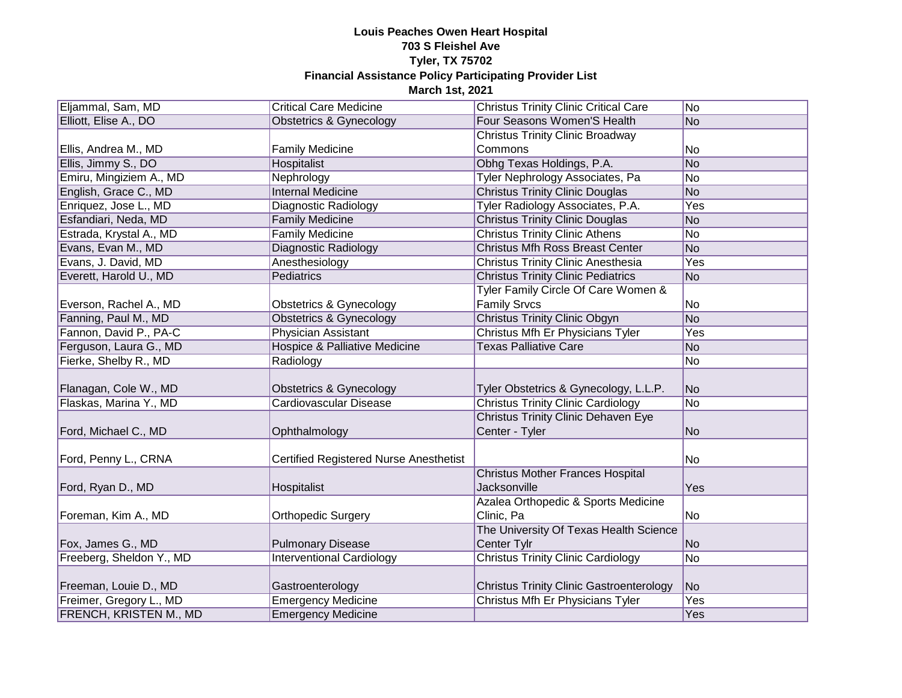| Eljammal, Sam, MD        | <b>Critical Care Medicine</b>                 | <b>Christus Trinity Clinic Critical Care</b>    | No  |
|--------------------------|-----------------------------------------------|-------------------------------------------------|-----|
| Elliott, Elise A., DO    | <b>Obstetrics &amp; Gynecology</b>            | Four Seasons Women'S Health                     | No  |
|                          |                                               | <b>Christus Trinity Clinic Broadway</b>         |     |
| Ellis, Andrea M., MD     | <b>Family Medicine</b>                        | Commons                                         | No  |
| Ellis, Jimmy S., DO      | <b>Hospitalist</b>                            | Obhg Texas Holdings, P.A.                       | No  |
| Emiru, Mingiziem A., MD  | Nephrology                                    | <b>Tyler Nephrology Associates, Pa</b>          | No  |
| English, Grace C., MD    | <b>Internal Medicine</b>                      | <b>Christus Trinity Clinic Douglas</b>          | No  |
| Enriquez, Jose L., MD    | Diagnostic Radiology                          | Tyler Radiology Associates, P.A.                | Yes |
| Esfandiari, Neda, MD     | <b>Family Medicine</b>                        | <b>Christus Trinity Clinic Douglas</b>          | No  |
| Estrada, Krystal A., MD  | <b>Family Medicine</b>                        | <b>Christus Trinity Clinic Athens</b>           | No  |
| Evans, Evan M., MD       | Diagnostic Radiology                          | <b>Christus Mfh Ross Breast Center</b>          | No  |
| Evans, J. David, MD      | Anesthesiology                                | <b>Christus Trinity Clinic Anesthesia</b>       | Yes |
| Everett, Harold U., MD   | Pediatrics                                    | <b>Christus Trinity Clinic Pediatrics</b>       | No  |
|                          |                                               | Tyler Family Circle Of Care Women &             |     |
| Everson, Rachel A., MD   | <b>Obstetrics &amp; Gynecology</b>            | <b>Family Srvcs</b>                             | No  |
| Fanning, Paul M., MD     | <b>Obstetrics &amp; Gynecology</b>            | <b>Christus Trinity Clinic Obgyn</b>            | No  |
| Fannon, David P., PA-C   | <b>Physician Assistant</b>                    | Christus Mfh Er Physicians Tyler                | Yes |
| Ferguson, Laura G., MD   | Hospice & Palliative Medicine                 | <b>Texas Palliative Care</b>                    | No  |
| Fierke, Shelby R., MD    | Radiology                                     |                                                 | No  |
|                          |                                               |                                                 |     |
| Flanagan, Cole W., MD    | Obstetrics & Gynecology                       | Tyler Obstetrics & Gynecology, L.L.P.           | No  |
| Flaskas, Marina Y., MD   | Cardiovascular Disease                        | <b>Christus Trinity Clinic Cardiology</b>       | No  |
|                          |                                               | <b>Christus Trinity Clinic Dehaven Eye</b>      |     |
| Ford, Michael C., MD     | Ophthalmology                                 | Center - Tyler                                  | No  |
|                          |                                               |                                                 |     |
| Ford, Penny L., CRNA     | <b>Certified Registered Nurse Anesthetist</b> |                                                 | No  |
|                          |                                               | <b>Christus Mother Frances Hospital</b>         |     |
| Ford, Ryan D., MD        | Hospitalist                                   | Jacksonville                                    | Yes |
|                          |                                               | Azalea Orthopedic & Sports Medicine             |     |
| Foreman, Kim A., MD      | <b>Orthopedic Surgery</b>                     | Clinic, Pa                                      | No  |
|                          |                                               | The University Of Texas Health Science          |     |
| Fox, James G., MD        | <b>Pulmonary Disease</b>                      | Center Tylr                                     | No  |
| Freeberg, Sheldon Y., MD | <b>Interventional Cardiology</b>              | <b>Christus Trinity Clinic Cardiology</b>       | No  |
|                          |                                               |                                                 |     |
| Freeman, Louie D., MD    | Gastroenterology                              | <b>Christus Trinity Clinic Gastroenterology</b> | No  |
| Freimer, Gregory L., MD  | <b>Emergency Medicine</b>                     | Christus Mfh Er Physicians Tyler                | Yes |
| FRENCH, KRISTEN M., MD   | <b>Emergency Medicine</b>                     |                                                 | Yes |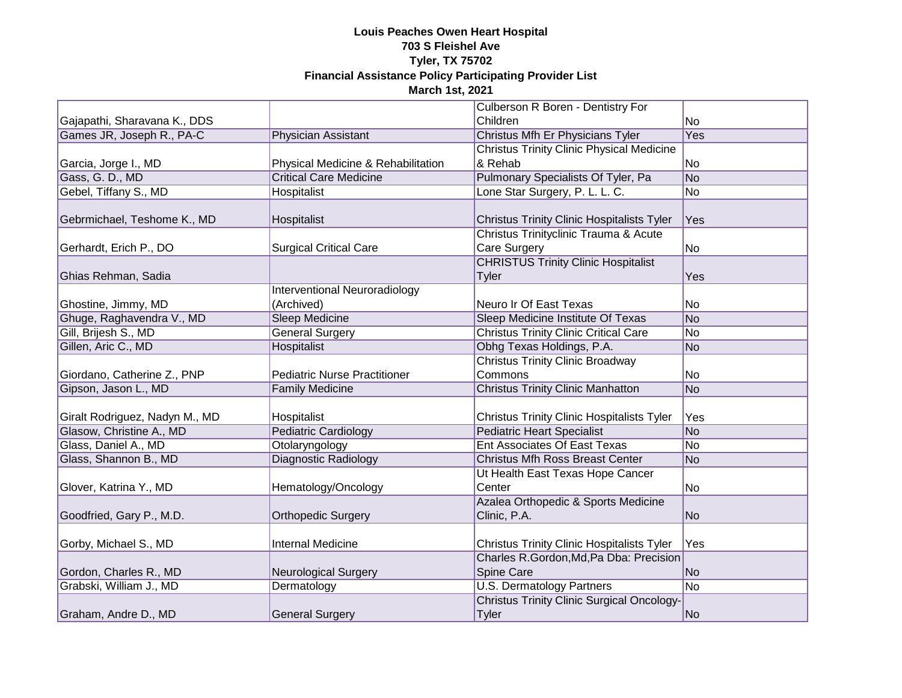|                                |                                     | Culberson R Boren - Dentistry For                 |                 |
|--------------------------------|-------------------------------------|---------------------------------------------------|-----------------|
| Gajapathi, Sharavana K., DDS   |                                     | Children                                          | No              |
| Games JR, Joseph R., PA-C      | Physician Assistant                 | Christus Mfh Er Physicians Tyler                  | Yes             |
|                                |                                     | <b>Christus Trinity Clinic Physical Medicine</b>  |                 |
| Garcia, Jorge I., MD           | Physical Medicine & Rehabilitation  | & Rehab                                           | No              |
| Gass, G. D., MD                | <b>Critical Care Medicine</b>       | Pulmonary Specialists Of Tyler, Pa                | No              |
| Gebel, Tiffany S., MD          | <b>Hospitalist</b>                  | Lone Star Surgery, P. L. L. C.                    | No              |
|                                |                                     |                                                   |                 |
| Gebrmichael, Teshome K., MD    | Hospitalist                         | <b>Christus Trinity Clinic Hospitalists Tyler</b> | Yes             |
|                                |                                     | Christus Trinityclinic Trauma & Acute             |                 |
| Gerhardt, Erich P., DO         | <b>Surgical Critical Care</b>       | Care Surgery                                      | No              |
|                                |                                     | <b>CHRISTUS Trinity Clinic Hospitalist</b>        |                 |
| Ghias Rehman, Sadia            |                                     | <b>Tyler</b>                                      | Yes             |
|                                | Interventional Neuroradiology       |                                                   |                 |
| Ghostine, Jimmy, MD            | (Archived)                          | Neuro Ir Of East Texas                            | No              |
| Ghuge, Raghavendra V., MD      | <b>Sleep Medicine</b>               | Sleep Medicine Institute Of Texas                 | No              |
| Gill, Brijesh S., MD           | <b>General Surgery</b>              | <b>Christus Trinity Clinic Critical Care</b>      | No              |
| Gillen, Aric C., MD            | Hospitalist                         | Obhg Texas Holdings, P.A.                         | No              |
|                                |                                     | <b>Christus Trinity Clinic Broadway</b>           |                 |
| Giordano, Catherine Z., PNP    | <b>Pediatric Nurse Practitioner</b> | Commons                                           | No              |
| Gipson, Jason L., MD           | <b>Family Medicine</b>              | <b>Christus Trinity Clinic Manhatton</b>          | No              |
|                                |                                     |                                                   |                 |
| Giralt Rodriguez, Nadyn M., MD | Hospitalist                         | <b>Christus Trinity Clinic Hospitalists Tyler</b> | Yes             |
| Glasow, Christine A., MD       | <b>Pediatric Cardiology</b>         | <b>Pediatric Heart Specialist</b>                 | No              |
| Glass, Daniel A., MD           | Otolaryngology                      | <b>Ent Associates Of East Texas</b>               | No              |
| Glass, Shannon B., MD          | <b>Diagnostic Radiology</b>         | <b>Christus Mfh Ross Breast Center</b>            | No              |
|                                |                                     | Ut Health East Texas Hope Cancer                  |                 |
| Glover, Katrina Y., MD         | Hematology/Oncology                 | Center                                            | No              |
|                                |                                     | Azalea Orthopedic & Sports Medicine               |                 |
| Goodfried, Gary P., M.D.       | <b>Orthopedic Surgery</b>           | Clinic, P.A.                                      | No              |
|                                |                                     |                                                   |                 |
| Gorby, Michael S., MD          | <b>Internal Medicine</b>            | <b>Christus Trinity Clinic Hospitalists Tyler</b> | Yes             |
|                                |                                     | Charles R.Gordon, Md, Pa Dba: Precision           |                 |
| Gordon, Charles R., MD         | <b>Neurological Surgery</b>         | Spine Care                                        | No              |
| Grabski, William J., MD        | Dermatology                         | <b>U.S. Dermatology Partners</b>                  | $\overline{No}$ |
|                                |                                     | <b>Christus Trinity Clinic Surgical Oncology-</b> |                 |
| Graham, Andre D., MD           | <b>General Surgery</b>              | <b>Tyler</b>                                      | No              |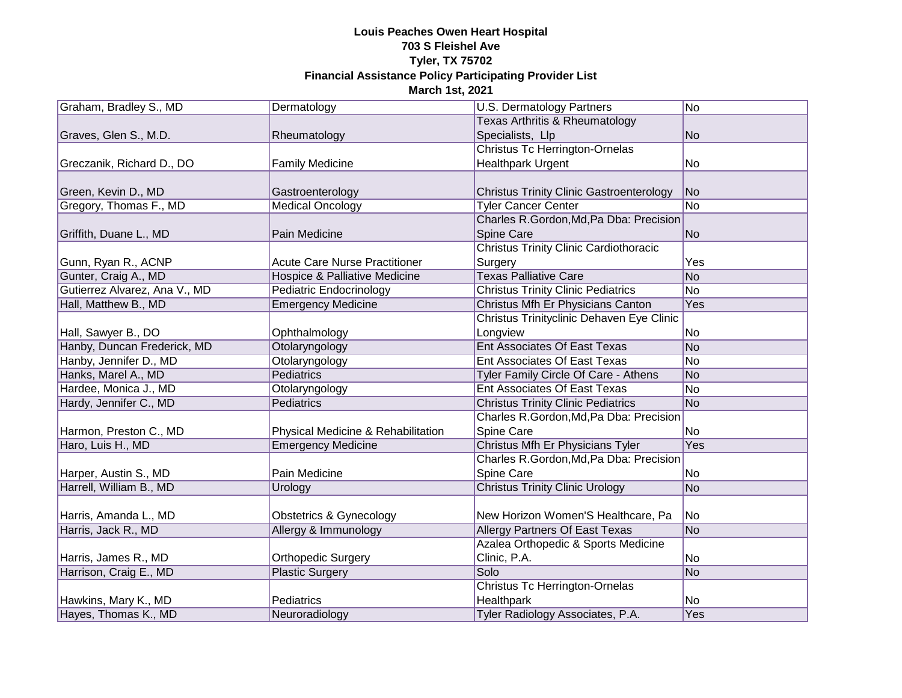| Graham, Bradley S., MD        | Dermatology                          | U.S. Dermatology Partners                       | No             |
|-------------------------------|--------------------------------------|-------------------------------------------------|----------------|
|                               |                                      | Texas Arthritis & Rheumatology                  |                |
| Graves, Glen S., M.D.         | Rheumatology                         | Specialists, Llp                                | N <sub>o</sub> |
|                               |                                      | <b>Christus Tc Herrington-Ornelas</b>           |                |
| Greczanik, Richard D., DO     | <b>Family Medicine</b>               | <b>Healthpark Urgent</b>                        | No             |
|                               |                                      |                                                 |                |
| Green, Kevin D., MD           | Gastroenterology                     | <b>Christus Trinity Clinic Gastroenterology</b> | N <sub>o</sub> |
| Gregory, Thomas F., MD        | <b>Medical Oncology</b>              | <b>Tyler Cancer Center</b>                      | N <sub>o</sub> |
|                               |                                      | Charles R.Gordon, Md, Pa Dba: Precision         |                |
| Griffith, Duane L., MD        | Pain Medicine                        | Spine Care                                      | N <sub>o</sub> |
|                               |                                      | <b>Christus Trinity Clinic Cardiothoracic</b>   |                |
| Gunn, Ryan R., ACNP           | <b>Acute Care Nurse Practitioner</b> | Surgery                                         | Yes            |
| Gunter, Craig A., MD          | Hospice & Palliative Medicine        | <b>Texas Palliative Care</b>                    | N <sub>o</sub> |
| Gutierrez Alvarez, Ana V., MD | <b>Pediatric Endocrinology</b>       | <b>Christus Trinity Clinic Pediatrics</b>       | N <sub>o</sub> |
| Hall, Matthew B., MD          | <b>Emergency Medicine</b>            | Christus Mfh Er Physicians Canton               | Yes            |
|                               |                                      | Christus Trinityclinic Dehaven Eye Clinic       |                |
| Hall, Sawyer B., DO           | Ophthalmology                        | Longview                                        | No             |
| Hanby, Duncan Frederick, MD   | Otolaryngology                       | <b>Ent Associates Of East Texas</b>             | No             |
| Hanby, Jennifer D., MD        | Otolaryngology                       | <b>Ent Associates Of East Texas</b>             | N <sub>o</sub> |
| Hanks, Marel A., MD           | Pediatrics                           | Tyler Family Circle Of Care - Athens            | No             |
| Hardee, Monica J., MD         | Otolaryngology                       | Ent Associates Of East Texas                    | No             |
| Hardy, Jennifer C., MD        | Pediatrics                           | <b>Christus Trinity Clinic Pediatrics</b>       | N <sub>o</sub> |
|                               |                                      | Charles R.Gordon, Md, Pa Dba: Precision         |                |
| Harmon, Preston C., MD        | Physical Medicine & Rehabilitation   | Spine Care                                      | <b>No</b>      |
| Haro, Luis H., MD             | <b>Emergency Medicine</b>            | Christus Mfh Er Physicians Tyler                | Yes            |
|                               |                                      | Charles R.Gordon, Md, Pa Dba: Precision         |                |
| Harper, Austin S., MD         | Pain Medicine                        | Spine Care                                      | No             |
| Harrell, William B., MD       | Urology                              | <b>Christus Trinity Clinic Urology</b>          | N <sub>o</sub> |
|                               |                                      |                                                 |                |
| Harris, Amanda L., MD         | <b>Obstetrics &amp; Gynecology</b>   | New Horizon Women'S Healthcare, Pa              | N <sub>o</sub> |
| Harris, Jack R., MD           | Allergy & Immunology                 | <b>Allergy Partners Of East Texas</b>           | <b>No</b>      |
|                               |                                      | Azalea Orthopedic & Sports Medicine             |                |
| Harris, James R., MD          | <b>Orthopedic Surgery</b>            | Clinic, P.A.                                    | N <sub>o</sub> |
| Harrison, Craig E., MD        | <b>Plastic Surgery</b>               | Solo                                            | No             |
|                               |                                      | <b>Christus Tc Herrington-Ornelas</b>           |                |
| Hawkins, Mary K., MD          | Pediatrics                           | Healthpark                                      | No             |
| Hayes, Thomas K., MD          | Neuroradiology                       | Tyler Radiology Associates, P.A.                | Yes            |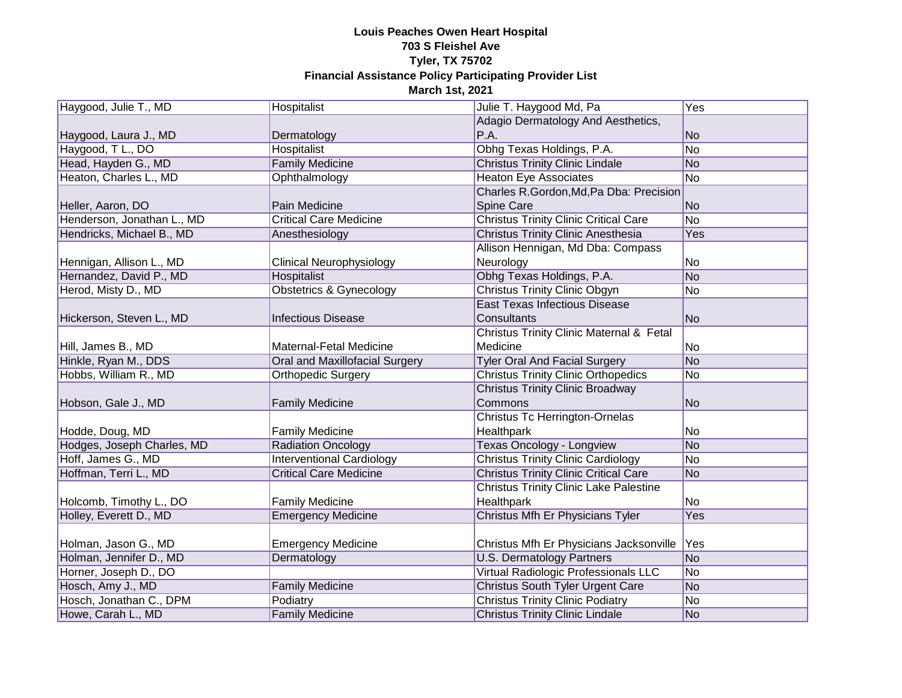| Haygood, Julie T., MD      | Hospitalist                        | Julie T. Haygood Md, Pa                       | Yes             |
|----------------------------|------------------------------------|-----------------------------------------------|-----------------|
|                            |                                    | Adagio Dermatology And Aesthetics,            |                 |
| Haygood, Laura J., MD      | Dermatology                        | P.A.                                          | <b>No</b>       |
| Haygood, T L., DO          | Hospitalist                        | Obhg Texas Holdings, P.A.                     | N <sub>o</sub>  |
| Head, Hayden G., MD        | <b>Family Medicine</b>             | <b>Christus Trinity Clinic Lindale</b>        | No              |
| Heaton, Charles L., MD     | Ophthalmology                      | <b>Heaton Eye Associates</b>                  | No              |
|                            |                                    | Charles R.Gordon, Md, Pa Dba: Precision       |                 |
| Heller, Aaron, DO          | Pain Medicine                      | Spine Care                                    | No              |
| Henderson, Jonathan L., MD | <b>Critical Care Medicine</b>      | <b>Christus Trinity Clinic Critical Care</b>  | $\overline{No}$ |
| Hendricks, Michael B., MD  | Anesthesiology                     | <b>Christus Trinity Clinic Anesthesia</b>     | Yes             |
|                            |                                    | Allison Hennigan, Md Dba: Compass             |                 |
| Hennigan, Allison L., MD   | <b>Clinical Neurophysiology</b>    | Neurology                                     | No              |
| Hernandez, David P., MD    | <b>Hospitalist</b>                 | Obhg Texas Holdings, P.A.                     | No              |
| Herod, Misty D., MD        | <b>Obstetrics &amp; Gynecology</b> | <b>Christus Trinity Clinic Obgyn</b>          | N <sub>o</sub>  |
|                            |                                    | <b>East Texas Infectious Disease</b>          |                 |
| Hickerson, Steven L., MD   | <b>Infectious Disease</b>          | Consultants                                   | No              |
|                            |                                    | Christus Trinity Clinic Maternal & Fetal      |                 |
| Hill, James B., MD         | Maternal-Fetal Medicine            | Medicine                                      | No              |
| Hinkle, Ryan M., DDS       | Oral and Maxillofacial Surgery     | <b>Tyler Oral And Facial Surgery</b>          | No              |
| Hobbs, William R., MD      | <b>Orthopedic Surgery</b>          | <b>Christus Trinity Clinic Orthopedics</b>    | No              |
|                            |                                    | <b>Christus Trinity Clinic Broadway</b>       |                 |
| Hobson, Gale J., MD        | <b>Family Medicine</b>             | Commons                                       | N <sub>o</sub>  |
|                            |                                    | Christus Tc Herrington-Ornelas                |                 |
| Hodde, Doug, MD            | <b>Family Medicine</b>             | Healthpark                                    | No.             |
| Hodges, Joseph Charles, MD | <b>Radiation Oncology</b>          | <b>Texas Oncology - Longview</b>              | No              |
| Hoff, James G., MD         | <b>Interventional Cardiology</b>   | <b>Christus Trinity Clinic Cardiology</b>     | No              |
| Hoffman, Terri L., MD      | <b>Critical Care Medicine</b>      | <b>Christus Trinity Clinic Critical Care</b>  | No              |
|                            |                                    | <b>Christus Trinity Clinic Lake Palestine</b> |                 |
| Holcomb, Timothy L., DO    | <b>Family Medicine</b>             | Healthpark                                    | No              |
| Holley, Everett D., MD     | <b>Emergency Medicine</b>          | Christus Mfh Er Physicians Tyler              | <b>Yes</b>      |
|                            |                                    |                                               |                 |
| Holman, Jason G., MD       | <b>Emergency Medicine</b>          | Christus Mfh Er Physicians Jacksonville       | Yes             |
| Holman, Jennifer D., MD    | Dermatology                        | <b>U.S. Dermatology Partners</b>              | N <sub>o</sub>  |
| Horner, Joseph D., DO      |                                    | <b>Virtual Radiologic Professionals LLC</b>   | N <sub>o</sub>  |
| Hosch, Amy J., MD          | <b>Family Medicine</b>             | Christus South Tyler Urgent Care              | No              |
| Hosch, Jonathan C., DPM    | Podiatry                           | <b>Christus Trinity Clinic Podiatry</b>       | No              |
| Howe, Carah L., MD         | <b>Family Medicine</b>             | <b>Christus Trinity Clinic Lindale</b>        | No              |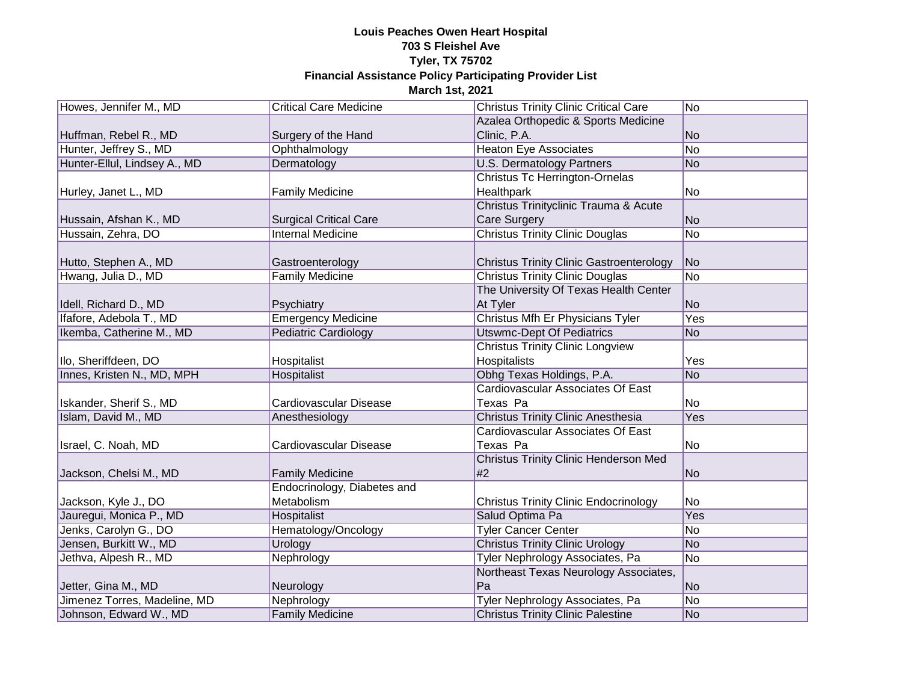| Howes, Jennifer M., MD       | <b>Critical Care Medicine</b> | <b>Christus Trinity Clinic Critical Care</b>    | N <sub>o</sub> |
|------------------------------|-------------------------------|-------------------------------------------------|----------------|
|                              |                               | Azalea Orthopedic & Sports Medicine             |                |
| Huffman, Rebel R., MD        | Surgery of the Hand           | Clinic, P.A.                                    | No             |
| Hunter, Jeffrey S., MD       | Ophthalmology                 | <b>Heaton Eye Associates</b>                    | N <sub>o</sub> |
| Hunter-Ellul, Lindsey A., MD | Dermatology                   | <b>U.S. Dermatology Partners</b>                | No             |
|                              |                               | <b>Christus Tc Herrington-Ornelas</b>           |                |
| Hurley, Janet L., MD         | <b>Family Medicine</b>        | <b>Healthpark</b>                               | No             |
|                              |                               | Christus Trinityclinic Trauma & Acute           |                |
| Hussain, Afshan K., MD       | <b>Surgical Critical Care</b> | Care Surgery                                    | N <sub>o</sub> |
| Hussain, Zehra, DO           | <b>Internal Medicine</b>      | <b>Christus Trinity Clinic Douglas</b>          | N <sub>o</sub> |
|                              |                               |                                                 |                |
| Hutto, Stephen A., MD        | Gastroenterology              | <b>Christus Trinity Clinic Gastroenterology</b> | N <sub>o</sub> |
| Hwang, Julia D., MD          | <b>Family Medicine</b>        | <b>Christus Trinity Clinic Douglas</b>          | N <sub>o</sub> |
|                              |                               | The University Of Texas Health Center           |                |
| Idell, Richard D., MD        | Psychiatry                    | At Tyler                                        | <b>No</b>      |
| Ifafore, Adebola T., MD      | <b>Emergency Medicine</b>     | Christus Mfh Er Physicians Tyler                | Yes            |
| Ikemba, Catherine M., MD     | <b>Pediatric Cardiology</b>   | <b>Utswmc-Dept Of Pediatrics</b>                | <b>No</b>      |
|                              |                               | <b>Christus Trinity Clinic Longview</b>         |                |
| Ilo, Sheriffdeen, DO         | Hospitalist                   | Hospitalists                                    | Yes            |
| Innes, Kristen N., MD, MPH   | Hospitalist                   | Obhg Texas Holdings, P.A.                       | <b>No</b>      |
|                              |                               | Cardiovascular Associates Of East               |                |
| Iskander, Sherif S., MD      | Cardiovascular Disease        | Texas Pa                                        | No             |
| Islam, David M., MD          | Anesthesiology                | <b>Christus Trinity Clinic Anesthesia</b>       | Yes            |
|                              |                               | Cardiovascular Associates Of East               |                |
| Israel, C. Noah, MD          | Cardiovascular Disease        | Texas Pa                                        | No             |
|                              |                               | <b>Christus Trinity Clinic Henderson Med</b>    |                |
| Jackson, Chelsi M., MD       | <b>Family Medicine</b>        | #2                                              | <b>No</b>      |
|                              | Endocrinology, Diabetes and   |                                                 |                |
| Jackson, Kyle J., DO         | Metabolism                    | <b>Christus Trinity Clinic Endocrinology</b>    | No             |
| Jauregui, Monica P., MD      | Hospitalist                   | Salud Optima Pa                                 | Yes            |
| Jenks, Carolyn G., DO        | Hematology/Oncology           | <b>Tyler Cancer Center</b>                      | No             |
| Jensen, Burkitt W., MD       | Urology                       | <b>Christus Trinity Clinic Urology</b>          | <b>No</b>      |
| Jethva, Alpesh R., MD        | Nephrology                    | Tyler Nephrology Associates, Pa                 | N <sub>o</sub> |
|                              |                               | Northeast Texas Neurology Associates,           |                |
| Jetter, Gina M., MD          | Neurology                     | Pa                                              | N <sub>o</sub> |
| Jimenez Torres, Madeline, MD | Nephrology                    | Tyler Nephrology Associates, Pa                 | No             |
| Johnson, Edward W., MD       | <b>Family Medicine</b>        | <b>Christus Trinity Clinic Palestine</b>        | No             |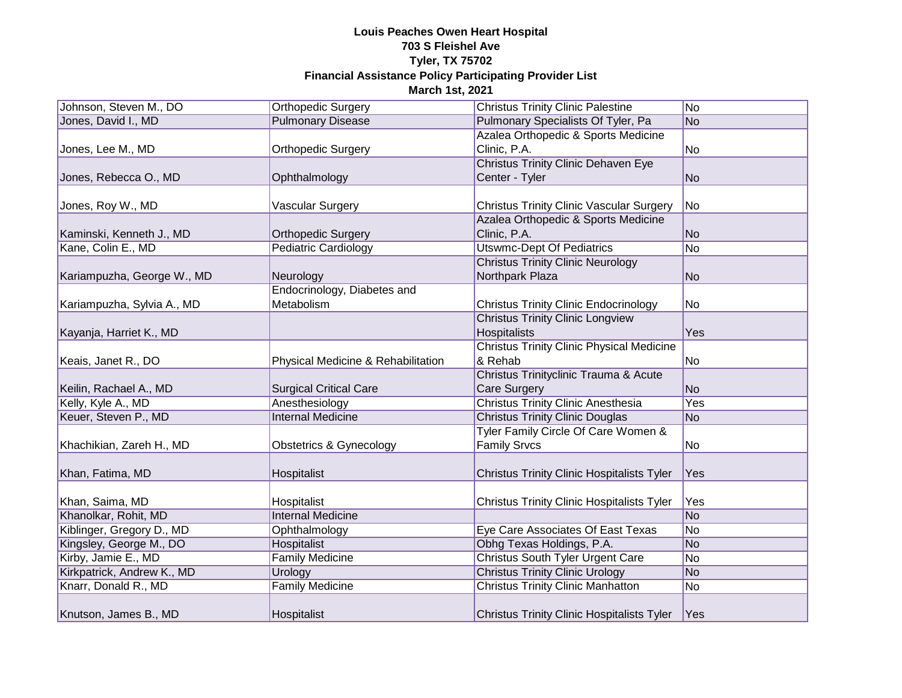| Johnson, Steven M., DO     | <b>Orthopedic Surgery</b>          | <b>Christus Trinity Clinic Palestine</b>          | No              |
|----------------------------|------------------------------------|---------------------------------------------------|-----------------|
| Jones, David I., MD        | <b>Pulmonary Disease</b>           | Pulmonary Specialists Of Tyler, Pa                | <b>No</b>       |
|                            |                                    | Azalea Orthopedic & Sports Medicine               |                 |
| Jones, Lee M., MD          | <b>Orthopedic Surgery</b>          | Clinic, P.A.                                      | No              |
|                            |                                    | <b>Christus Trinity Clinic Dehaven Eye</b>        |                 |
| Jones, Rebecca O., MD      | Ophthalmology                      | Center - Tyler                                    | <b>No</b>       |
|                            |                                    |                                                   |                 |
| Jones, Roy W., MD          | Vascular Surgery                   | <b>Christus Trinity Clinic Vascular Surgery</b>   | No              |
|                            |                                    | Azalea Orthopedic & Sports Medicine               |                 |
| Kaminski, Kenneth J., MD   | <b>Orthopedic Surgery</b>          | Clinic, P.A.                                      | <b>No</b>       |
| Kane, Colin E., MD         | Pediatric Cardiology               | Utswmc-Dept Of Pediatrics                         | No              |
|                            |                                    | <b>Christus Trinity Clinic Neurology</b>          |                 |
| Kariampuzha, George W., MD | Neurology                          | Northpark Plaza                                   | <b>No</b>       |
|                            | Endocrinology, Diabetes and        |                                                   |                 |
| Kariampuzha, Sylvia A., MD | Metabolism                         | <b>Christus Trinity Clinic Endocrinology</b>      | No              |
|                            |                                    | <b>Christus Trinity Clinic Longview</b>           |                 |
| Kayanja, Harriet K., MD    |                                    | Hospitalists                                      | Yes             |
|                            |                                    | <b>Christus Trinity Clinic Physical Medicine</b>  |                 |
| Keais, Janet R., DO        | Physical Medicine & Rehabilitation | & Rehab                                           | No              |
|                            |                                    | Christus Trinityclinic Trauma & Acute             |                 |
| Keilin, Rachael A., MD     | <b>Surgical Critical Care</b>      | Care Surgery                                      | No              |
| Kelly, Kyle A., MD         | Anesthesiology                     | <b>Christus Trinity Clinic Anesthesia</b>         | Yes             |
| Keuer, Steven P., MD       | <b>Internal Medicine</b>           | <b>Christus Trinity Clinic Douglas</b>            | <b>No</b>       |
|                            |                                    | Tyler Family Circle Of Care Women &               |                 |
| Khachikian, Zareh H., MD   | <b>Obstetrics &amp; Gynecology</b> | <b>Family Srvcs</b>                               | No              |
|                            |                                    |                                                   |                 |
| Khan, Fatima, MD           | Hospitalist                        | <b>Christus Trinity Clinic Hospitalists Tyler</b> | Yes             |
|                            |                                    |                                                   |                 |
| Khan, Saima, MD            | Hospitalist                        | <b>Christus Trinity Clinic Hospitalists Tyler</b> | Yes             |
| Khanolkar, Rohit, MD       | <b>Internal Medicine</b>           |                                                   | $\overline{No}$ |
| Kiblinger, Gregory D., MD  | Ophthalmology                      | Eye Care Associates Of East Texas                 | No              |
| Kingsley, George M., DO    | Hospitalist                        | Obhg Texas Holdings, P.A.                         | <b>No</b>       |
| Kirby, Jamie E., MD        | <b>Family Medicine</b>             | <b>Christus South Tyler Urgent Care</b>           | No              |
| Kirkpatrick, Andrew K., MD | Urology                            | <b>Christus Trinity Clinic Urology</b>            | <b>No</b>       |
| Knarr, Donald R., MD       | <b>Family Medicine</b>             | <b>Christus Trinity Clinic Manhatton</b>          | No              |
|                            |                                    |                                                   |                 |
| Knutson, James B., MD      | Hospitalist                        | <b>Christus Trinity Clinic Hospitalists Tyler</b> | Yes             |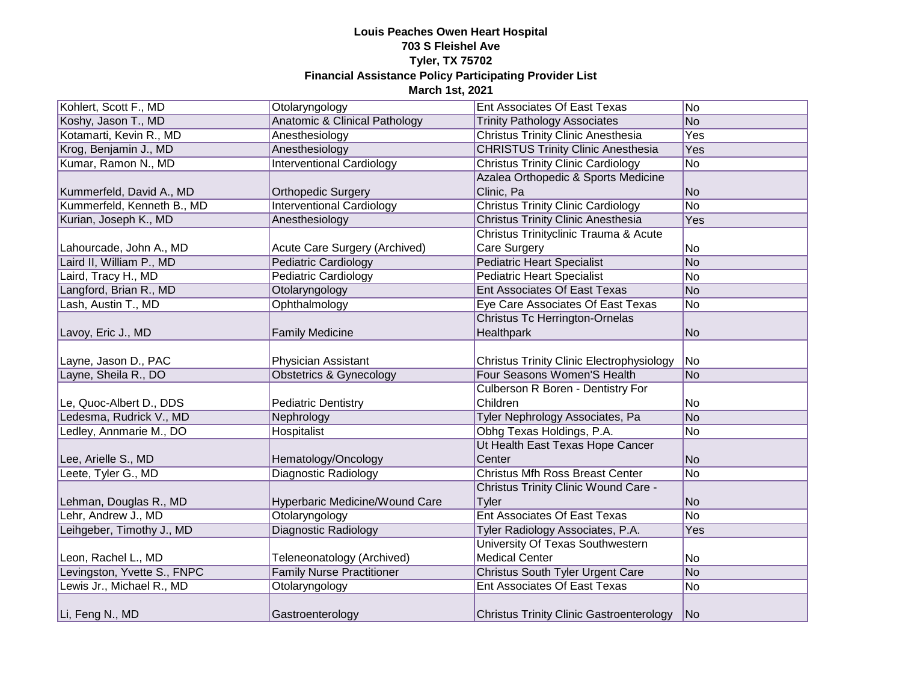| Kohlert, Scott F., MD       | Otolaryngology                     | Ent Associates Of East Texas                     | No             |
|-----------------------------|------------------------------------|--------------------------------------------------|----------------|
| Koshy, Jason T., MD         | Anatomic & Clinical Pathology      | <b>Trinity Pathology Associates</b>              | No             |
| Kotamarti, Kevin R., MD     | Anesthesiology                     | <b>Christus Trinity Clinic Anesthesia</b>        | Yes            |
| Krog, Benjamin J., MD       | Anesthesiology                     | <b>CHRISTUS Trinity Clinic Anesthesia</b>        | Yes            |
| Kumar, Ramon N., MD         | <b>Interventional Cardiology</b>   | <b>Christus Trinity Clinic Cardiology</b>        | N <sub>o</sub> |
|                             |                                    | Azalea Orthopedic & Sports Medicine              |                |
| Kummerfeld, David A., MD    | <b>Orthopedic Surgery</b>          | Clinic, Pa                                       | No             |
| Kummerfeld, Kenneth B., MD  | <b>Interventional Cardiology</b>   | <b>Christus Trinity Clinic Cardiology</b>        | No             |
| Kurian, Joseph K., MD       | Anesthesiology                     | <b>Christus Trinity Clinic Anesthesia</b>        | Yes            |
|                             |                                    | Christus Trinityclinic Trauma & Acute            |                |
| Lahourcade, John A., MD     | Acute Care Surgery (Archived)      | Care Surgery                                     | No             |
| Laird II, William P., MD    | <b>Pediatric Cardiology</b>        | <b>Pediatric Heart Specialist</b>                | No             |
| Laird, Tracy H., MD         | Pediatric Cardiology               | <b>Pediatric Heart Specialist</b>                | No             |
| Langford, Brian R., MD      | Otolaryngology                     | <b>Ent Associates Of East Texas</b>              | No             |
| Lash, Austin T., MD         | Ophthalmology                      | Eye Care Associates Of East Texas                | No             |
|                             |                                    | <b>Christus Tc Herrington-Ornelas</b>            |                |
| Lavoy, Eric J., MD          | <b>Family Medicine</b>             | Healthpark                                       | No             |
|                             |                                    |                                                  |                |
| Layne, Jason D., PAC        | Physician Assistant                | <b>Christus Trinity Clinic Electrophysiology</b> | No             |
| Layne, Sheila R., DO        | <b>Obstetrics &amp; Gynecology</b> | Four Seasons Women'S Health                      | No             |
|                             |                                    | Culberson R Boren - Dentistry For                |                |
| Le, Quoc-Albert D., DDS     | <b>Pediatric Dentistry</b>         | Children                                         | No             |
| Ledesma, Rudrick V., MD     | Nephrology                         | Tyler Nephrology Associates, Pa                  | No             |
| Ledley, Annmarie M., DO     | Hospitalist                        | Obhg Texas Holdings, P.A.                        | No             |
|                             |                                    | Ut Health East Texas Hope Cancer                 |                |
| Lee, Arielle S., MD         | Hematology/Oncology                | Center                                           | No             |
| Leete, Tyler G., MD         | <b>Diagnostic Radiology</b>        | <b>Christus Mfh Ross Breast Center</b>           | N <sub>o</sub> |
|                             |                                    | <b>Christus Trinity Clinic Wound Care -</b>      |                |
| Lehman, Douglas R., MD      | Hyperbaric Medicine/Wound Care     | Tyler                                            | No             |
| Lehr, Andrew J., MD         | Otolaryngology                     | <b>Ent Associates Of East Texas</b>              | No             |
| Leihgeber, Timothy J., MD   | Diagnostic Radiology               | Tyler Radiology Associates, P.A.                 | Yes            |
|                             |                                    | University Of Texas Southwestern                 |                |
| Leon, Rachel L., MD         | Teleneonatology (Archived)         | <b>Medical Center</b>                            | No             |
| Levingston, Yvette S., FNPC | <b>Family Nurse Practitioner</b>   | Christus South Tyler Urgent Care                 | No             |
| Lewis Jr., Michael R., MD   | Otolaryngology                     | Ent Associates Of East Texas                     | No             |
| Li, Feng N., MD             | Gastroenterology                   | <b>Christus Trinity Clinic Gastroenterology</b>  | No             |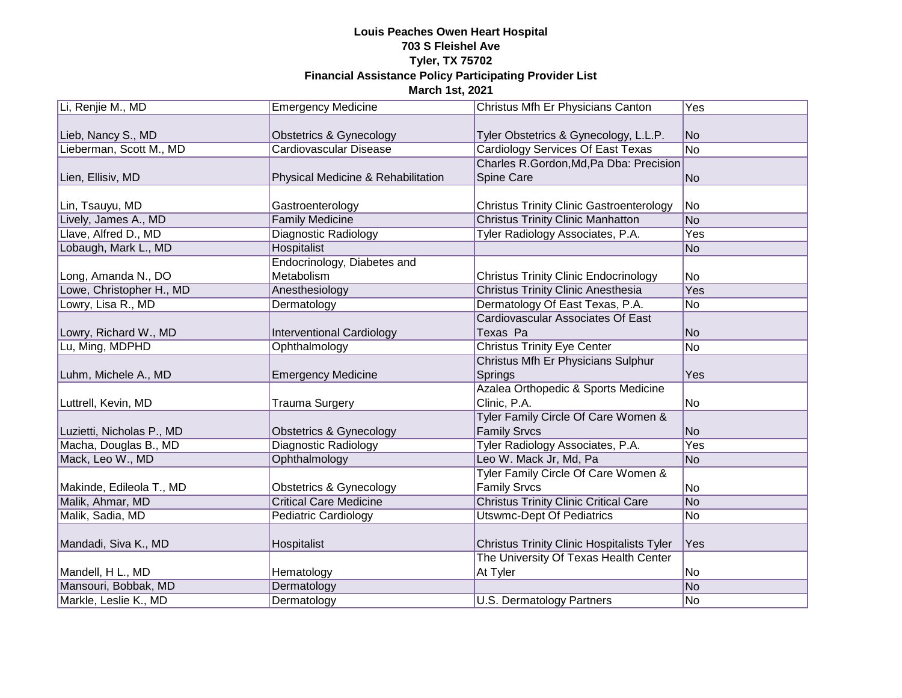| Li, Renjie M., MD         | <b>Emergency Medicine</b>          | Christus Mfh Er Physicians Canton                 | Yes            |
|---------------------------|------------------------------------|---------------------------------------------------|----------------|
|                           |                                    |                                                   |                |
| Lieb, Nancy S., MD        | Obstetrics & Gynecology            | Tyler Obstetrics & Gynecology, L.L.P.             | No             |
| Lieberman, Scott M., MD   | Cardiovascular Disease             | Cardiology Services Of East Texas                 | N <sub>o</sub> |
|                           |                                    | Charles R.Gordon, Md, Pa Dba: Precision           |                |
| Lien, Ellisiv, MD         | Physical Medicine & Rehabilitation | Spine Care                                        | N <sub>o</sub> |
|                           |                                    |                                                   |                |
| Lin, Tsauyu, MD           | Gastroenterology                   | <b>Christus Trinity Clinic Gastroenterology</b>   | No             |
| Lively, James A., MD      | <b>Family Medicine</b>             | <b>Christus Trinity Clinic Manhatton</b>          | N <sub>o</sub> |
| Llave, Alfred D., MD      | Diagnostic Radiology               | Tyler Radiology Associates, P.A.                  | Yes            |
| Lobaugh, Mark L., MD      | Hospitalist                        |                                                   | N <sub>o</sub> |
|                           | Endocrinology, Diabetes and        |                                                   |                |
| Long, Amanda N., DO       | Metabolism                         | <b>Christus Trinity Clinic Endocrinology</b>      | No             |
| Lowe, Christopher H., MD  | Anesthesiology                     | <b>Christus Trinity Clinic Anesthesia</b>         | Yes            |
| Lowry, Lisa R., MD        | Dermatology                        | Dermatology Of East Texas, P.A.                   | <b>No</b>      |
|                           |                                    | Cardiovascular Associates Of East                 |                |
| Lowry, Richard W., MD     | <b>Interventional Cardiology</b>   | Texas Pa                                          | N <sub>o</sub> |
| Lu, Ming, MDPHD           | Ophthalmology                      | <b>Christus Trinity Eye Center</b>                | N <sub>o</sub> |
|                           |                                    | Christus Mfh Er Physicians Sulphur                |                |
| Luhm, Michele A., MD      | <b>Emergency Medicine</b>          | Springs                                           | Yes            |
|                           |                                    | Azalea Orthopedic & Sports Medicine               |                |
| Luttrell, Kevin, MD       | <b>Trauma Surgery</b>              | Clinic, P.A.                                      | No             |
|                           |                                    | Tyler Family Circle Of Care Women &               |                |
| Luzietti, Nicholas P., MD | <b>Obstetrics &amp; Gynecology</b> | <b>Family Srvcs</b>                               | <b>No</b>      |
| Macha, Douglas B., MD     | Diagnostic Radiology               | Tyler Radiology Associates, P.A.                  | Yes            |
| Mack, Leo W., MD          | Ophthalmology                      | Leo W. Mack Jr, Md, Pa                            | <b>No</b>      |
|                           |                                    | Tyler Family Circle Of Care Women &               |                |
| Makinde, Edileola T., MD  | Obstetrics & Gynecology            | <b>Family Srvcs</b>                               | No             |
| Malik, Ahmar, MD          | <b>Critical Care Medicine</b>      | <b>Christus Trinity Clinic Critical Care</b>      | N <sub>o</sub> |
| Malik, Sadia, MD          | Pediatric Cardiology               | <b>Utswmc-Dept Of Pediatrics</b>                  | No             |
|                           |                                    |                                                   |                |
| Mandadi, Siva K., MD      | Hospitalist                        | <b>Christus Trinity Clinic Hospitalists Tyler</b> | Yes            |
|                           |                                    | The University Of Texas Health Center             |                |
| Mandell, H L., MD         | Hematology                         | At Tyler                                          | No             |
| Mansouri, Bobbak, MD      | Dermatology                        |                                                   | N <sub>o</sub> |
| Markle, Leslie K., MD     | Dermatology                        | U.S. Dermatology Partners                         | No             |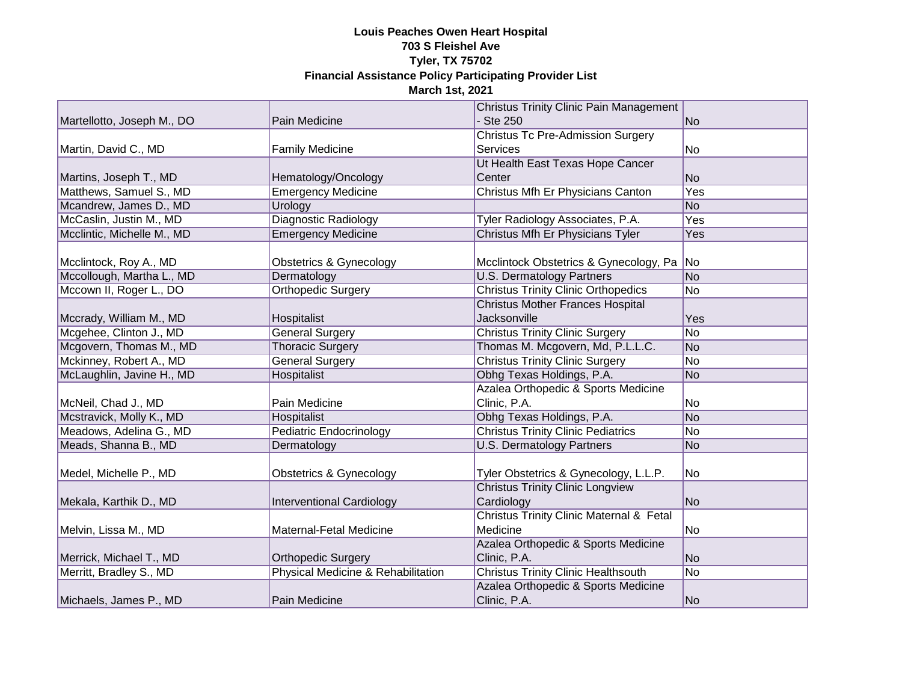|                            |                                    | <b>Christus Trinity Clinic Pain Management</b> |                |
|----------------------------|------------------------------------|------------------------------------------------|----------------|
| Martellotto, Joseph M., DO | Pain Medicine                      | - Ste 250                                      | No             |
|                            |                                    | <b>Christus Tc Pre-Admission Surgery</b>       |                |
| Martin, David C., MD       | <b>Family Medicine</b>             | Services                                       | No             |
|                            |                                    | Ut Health East Texas Hope Cancer               |                |
| Martins, Joseph T., MD     | Hematology/Oncology                | Center                                         | <b>No</b>      |
| Matthews, Samuel S., MD    | <b>Emergency Medicine</b>          | Christus Mfh Er Physicians Canton              | Yes            |
| Mcandrew, James D., MD     | Urology                            |                                                | N <sub>o</sub> |
| McCaslin, Justin M., MD    | <b>Diagnostic Radiology</b>        | Tyler Radiology Associates, P.A.               | Yes            |
| Mcclintic, Michelle M., MD | <b>Emergency Medicine</b>          | Christus Mfh Er Physicians Tyler               | Yes            |
|                            |                                    |                                                |                |
| Mcclintock, Roy A., MD     | <b>Obstetrics &amp; Gynecology</b> | Mcclintock Obstetrics & Gynecology, Pa         | No             |
| Mccollough, Martha L., MD  | Dermatology                        | <b>U.S. Dermatology Partners</b>               | N <sub>o</sub> |
| Mccown II, Roger L., DO    | <b>Orthopedic Surgery</b>          | <b>Christus Trinity Clinic Orthopedics</b>     | No             |
|                            |                                    | <b>Christus Mother Frances Hospital</b>        |                |
| Mccrady, William M., MD    | Hospitalist                        | <b>Jacksonville</b>                            | Yes            |
| Mcgehee, Clinton J., MD    | <b>General Surgery</b>             | <b>Christus Trinity Clinic Surgery</b>         | No             |
| Mcgovern, Thomas M., MD    | <b>Thoracic Surgery</b>            | Thomas M. Mcgovern, Md, P.L.L.C.               | N <sub>o</sub> |
| Mckinney, Robert A., MD    | <b>General Surgery</b>             | <b>Christus Trinity Clinic Surgery</b>         | No             |
| McLaughlin, Javine H., MD  | Hospitalist                        | Obhg Texas Holdings, P.A.                      | N <sub>o</sub> |
|                            |                                    | Azalea Orthopedic & Sports Medicine            |                |
| McNeil, Chad J., MD        | Pain Medicine                      | Clinic, P.A.                                   | No             |
| Mcstravick, Molly K., MD   | Hospitalist                        | Obhg Texas Holdings, P.A.                      | N <sub>o</sub> |
| Meadows, Adelina G., MD    | <b>Pediatric Endocrinology</b>     | <b>Christus Trinity Clinic Pediatrics</b>      | No             |
| Meads, Shanna B., MD       | Dermatology                        | <b>U.S. Dermatology Partners</b>               | N <sub>o</sub> |
|                            |                                    |                                                |                |
| Medel, Michelle P., MD     | Obstetrics & Gynecology            | Tyler Obstetrics & Gynecology, L.L.P.          | No             |
|                            |                                    | <b>Christus Trinity Clinic Longview</b>        |                |
| Mekala, Karthik D., MD     | <b>Interventional Cardiology</b>   | Cardiology                                     | No             |
|                            |                                    | Christus Trinity Clinic Maternal & Fetal       |                |
| Melvin, Lissa M., MD       | Maternal-Fetal Medicine            | Medicine                                       | No             |
|                            |                                    | Azalea Orthopedic & Sports Medicine            |                |
| Merrick, Michael T., MD    | <b>Orthopedic Surgery</b>          | Clinic, P.A.                                   | No             |
| Merritt, Bradley S., MD    | Physical Medicine & Rehabilitation | <b>Christus Trinity Clinic Healthsouth</b>     | N <sub>o</sub> |
|                            |                                    | Azalea Orthopedic & Sports Medicine            |                |
| Michaels, James P., MD     | Pain Medicine                      | Clinic, P.A.                                   | No             |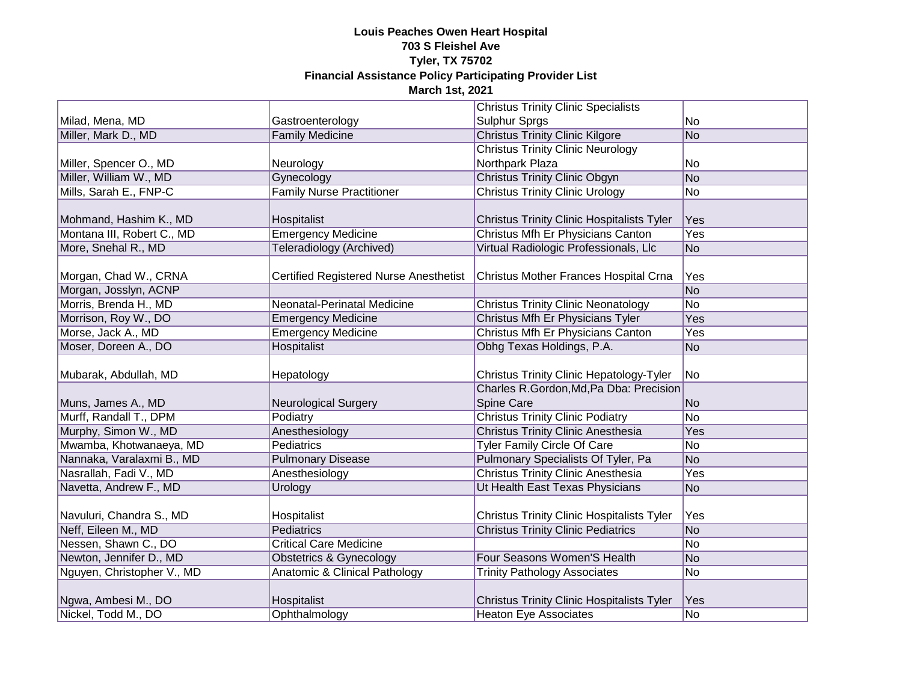|                            |                                               | <b>Christus Trinity Clinic Specialists</b>        |                 |
|----------------------------|-----------------------------------------------|---------------------------------------------------|-----------------|
| Milad, Mena, MD            | Gastroenterology                              | Sulphur Sprgs                                     | No              |
| Miller, Mark D., MD        | <b>Family Medicine</b>                        | <b>Christus Trinity Clinic Kilgore</b>            | No              |
|                            |                                               | <b>Christus Trinity Clinic Neurology</b>          |                 |
| Miller, Spencer O., MD     | Neurology                                     | Northpark Plaza                                   | No              |
| Miller, William W., MD     | Gynecology                                    | <b>Christus Trinity Clinic Obgyn</b>              | No              |
| Mills, Sarah E., FNP-C     | <b>Family Nurse Practitioner</b>              | <b>Christus Trinity Clinic Urology</b>            | No              |
|                            |                                               |                                                   |                 |
| Mohmand, Hashim K., MD     | Hospitalist                                   | <b>Christus Trinity Clinic Hospitalists Tyler</b> | Yes             |
| Montana III, Robert C., MD | Emergency Medicine                            | Christus Mfh Er Physicians Canton                 | Yes             |
| More, Snehal R., MD        | <b>Teleradiology (Archived)</b>               | Virtual Radiologic Professionals, Llc             | <b>No</b>       |
|                            |                                               |                                                   |                 |
| Morgan, Chad W., CRNA      | <b>Certified Registered Nurse Anesthetist</b> | Christus Mother Frances Hospital Crna             | Yes             |
| Morgan, Josslyn, ACNP      |                                               |                                                   | $\overline{No}$ |
| Morris, Brenda H., MD      | Neonatal-Perinatal Medicine                   | <b>Christus Trinity Clinic Neonatology</b>        | <b>No</b>       |
| Morrison, Roy W., DO       | <b>Emergency Medicine</b>                     | Christus Mfh Er Physicians Tyler                  | Yes             |
| Morse, Jack A., MD         | <b>Emergency Medicine</b>                     | Christus Mfh Er Physicians Canton                 | Yes             |
| Moser, Doreen A., DO       | Hospitalist                                   | Obhg Texas Holdings, P.A.                         | No              |
|                            |                                               |                                                   |                 |
| Mubarak, Abdullah, MD      | Hepatology                                    | <b>Christus Trinity Clinic Hepatology-Tyler</b>   | No              |
|                            |                                               | Charles R.Gordon, Md, Pa Dba: Precision           |                 |
| Muns, James A., MD         | <b>Neurological Surgery</b>                   | Spine Care                                        | <b>No</b>       |
| Murff, Randall T., DPM     | Podiatry                                      | <b>Christus Trinity Clinic Podiatry</b>           | No              |
| Murphy, Simon W., MD       | Anesthesiology                                | <b>Christus Trinity Clinic Anesthesia</b>         | Yes             |
| Mwamba, Khotwanaeya, MD    | Pediatrics                                    | <b>Tyler Family Circle Of Care</b>                | No              |
| Nannaka, Varalaxmi B., MD  | <b>Pulmonary Disease</b>                      | Pulmonary Specialists Of Tyler, Pa                | <b>No</b>       |
| Nasrallah, Fadi V., MD     | Anesthesiology                                | <b>Christus Trinity Clinic Anesthesia</b>         | Yes             |
| Navetta, Andrew F., MD     | Urology                                       | Ut Health East Texas Physicians                   | <b>No</b>       |
|                            |                                               |                                                   |                 |
| Navuluri, Chandra S., MD   | Hospitalist                                   | <b>Christus Trinity Clinic Hospitalists Tyler</b> | Yes             |
| Neff, Eileen M., MD        | <b>Pediatrics</b>                             | <b>Christus Trinity Clinic Pediatrics</b>         | No              |
| Nessen, Shawn C., DO       | <b>Critical Care Medicine</b>                 |                                                   | No              |
| Newton, Jennifer D., MD    | <b>Obstetrics &amp; Gynecology</b>            | Four Seasons Women'S Health                       | No              |
| Nguyen, Christopher V., MD | Anatomic & Clinical Pathology                 | <b>Trinity Pathology Associates</b>               | No              |
|                            |                                               |                                                   |                 |
| Ngwa, Ambesi M., DO        | Hospitalist                                   | <b>Christus Trinity Clinic Hospitalists Tyler</b> | Yes             |
| Nickel, Todd M., DO        | Ophthalmology                                 | <b>Heaton Eye Associates</b>                      | <b>No</b>       |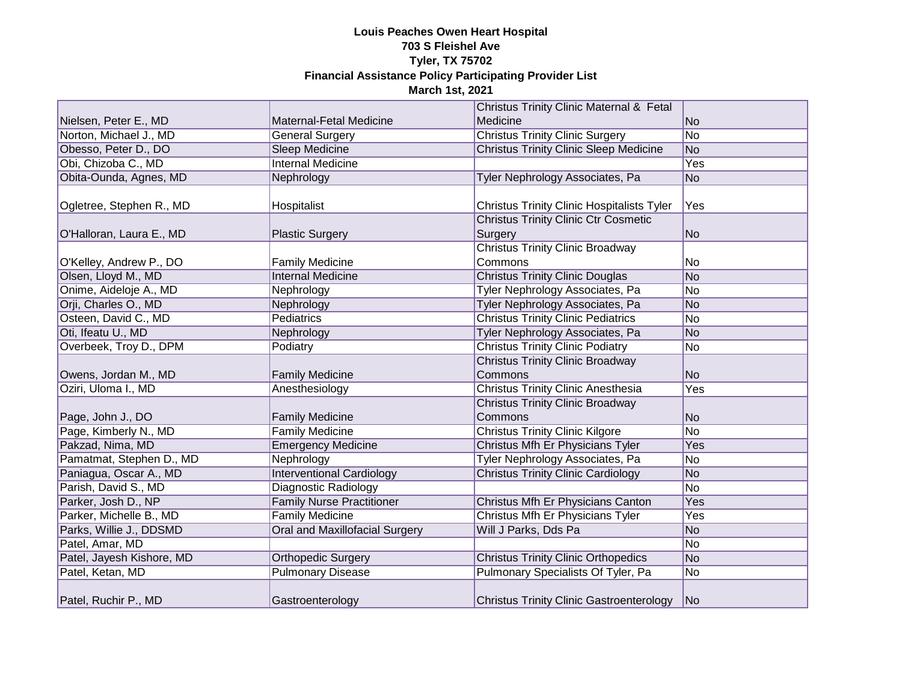|                           |                                       | <b>Christus Trinity Clinic Maternal &amp; Fetal</b>    |                |
|---------------------------|---------------------------------------|--------------------------------------------------------|----------------|
| Nielsen, Peter E., MD     | Maternal-Fetal Medicine               | Medicine                                               | N <sub>o</sub> |
| Norton, Michael J., MD    | <b>General Surgery</b>                | <b>Christus Trinity Clinic Surgery</b>                 | N <sub>o</sub> |
| Obesso, Peter D., DO      | <b>Sleep Medicine</b>                 | <b>Christus Trinity Clinic Sleep Medicine</b>          | N <sub>o</sub> |
| Obi, Chizoba C., MD       | <b>Internal Medicine</b>              |                                                        | Yes            |
| Obita-Ounda, Agnes, MD    | Nephrology                            | Tyler Nephrology Associates, Pa                        | N <sub>o</sub> |
| Ogletree, Stephen R., MD  | Hospitalist                           | <b>Christus Trinity Clinic Hospitalists Tyler</b>      | Yes            |
| O'Halloran, Laura E., MD  | <b>Plastic Surgery</b>                | <b>Christus Trinity Clinic Ctr Cosmetic</b><br>Surgery | No             |
| O'Kelley, Andrew P., DO   | <b>Family Medicine</b>                | <b>Christus Trinity Clinic Broadway</b><br>Commons     | No             |
| Olsen, Lloyd M., MD       | <b>Internal Medicine</b>              | <b>Christus Trinity Clinic Douglas</b>                 | N <sub>o</sub> |
| Onime, Aideloje A., MD    | Nephrology                            | Tyler Nephrology Associates, Pa                        | No             |
| Orji, Charles O., MD      | Nephrology                            | Tyler Nephrology Associates, Pa                        | No             |
| Osteen, David C., MD      | Pediatrics                            | <b>Christus Trinity Clinic Pediatrics</b>              | No             |
| Oti, Ifeatu U., MD        | Nephrology                            | <b>Tyler Nephrology Associates, Pa</b>                 | N <sub>o</sub> |
| Overbeek, Troy D., DPM    | Podiatry                              | <b>Christus Trinity Clinic Podiatry</b>                | No             |
| Owens, Jordan M., MD      | <b>Family Medicine</b>                | <b>Christus Trinity Clinic Broadway</b><br>Commons     | N <sub>o</sub> |
| Oziri, Uloma I., MD       | Anesthesiology                        | <b>Christus Trinity Clinic Anesthesia</b>              | Yes            |
| Page, John J., DO         | <b>Family Medicine</b>                | <b>Christus Trinity Clinic Broadway</b><br>Commons     | N <sub>o</sub> |
| Page, Kimberly N., MD     | <b>Family Medicine</b>                | <b>Christus Trinity Clinic Kilgore</b>                 | N <sub>o</sub> |
| Pakzad, Nima, MD          | <b>Emergency Medicine</b>             | Christus Mfh Er Physicians Tyler                       | Yes            |
| Pamatmat, Stephen D., MD  | Nephrology                            | Tyler Nephrology Associates, Pa                        | No             |
| Paniagua, Oscar A., MD    | <b>Interventional Cardiology</b>      | <b>Christus Trinity Clinic Cardiology</b>              | No             |
| Parish, David S., MD      | <b>Diagnostic Radiology</b>           |                                                        | No             |
| Parker, Josh D., NP       | <b>Family Nurse Practitioner</b>      | Christus Mfh Er Physicians Canton                      | Yes            |
| Parker, Michelle B., MD   | <b>Family Medicine</b>                | Christus Mfh Er Physicians Tyler                       | Yes            |
| Parks, Willie J., DDSMD   | <b>Oral and Maxillofacial Surgery</b> | Will J Parks, Dds Pa                                   | N <sub>o</sub> |
| Patel, Amar, MD           |                                       |                                                        | No             |
| Patel, Jayesh Kishore, MD | <b>Orthopedic Surgery</b>             | <b>Christus Trinity Clinic Orthopedics</b>             | N <sub>o</sub> |
| Patel, Ketan, MD          | <b>Pulmonary Disease</b>              | Pulmonary Specialists Of Tyler, Pa                     | N <sub>o</sub> |
| Patel, Ruchir P., MD      | Gastroenterology                      | <b>Christus Trinity Clinic Gastroenterology</b>        | No             |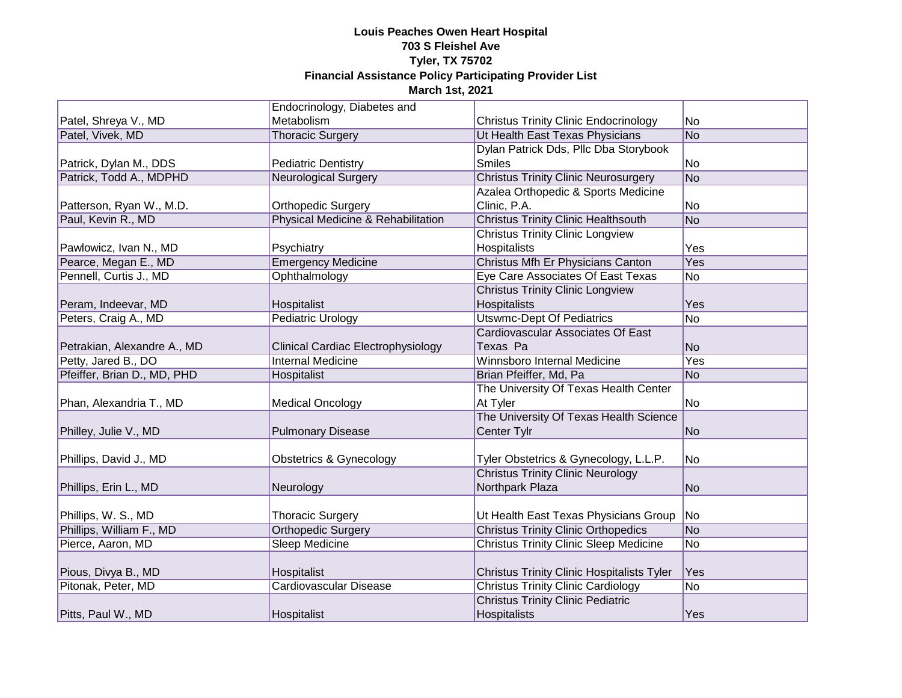|                             | Endocrinology, Diabetes and        |                                                   |                 |
|-----------------------------|------------------------------------|---------------------------------------------------|-----------------|
| Patel, Shreya V., MD        | Metabolism                         | <b>Christus Trinity Clinic Endocrinology</b>      | No              |
| Patel, Vivek, MD            | <b>Thoracic Surgery</b>            | Ut Health East Texas Physicians                   | N <sub>o</sub>  |
|                             |                                    | Dylan Patrick Dds, Pllc Dba Storybook             |                 |
| Patrick, Dylan M., DDS      | <b>Pediatric Dentistry</b>         | <b>Smiles</b>                                     | No              |
| Patrick, Todd A., MDPHD     | <b>Neurological Surgery</b>        | <b>Christus Trinity Clinic Neurosurgery</b>       | No              |
|                             |                                    | Azalea Orthopedic & Sports Medicine               |                 |
| Patterson, Ryan W., M.D.    | <b>Orthopedic Surgery</b>          | Clinic, P.A.                                      | No              |
| Paul, Kevin R., MD          | Physical Medicine & Rehabilitation | <b>Christus Trinity Clinic Healthsouth</b>        | No              |
|                             |                                    | <b>Christus Trinity Clinic Longview</b>           |                 |
| Pawlowicz, Ivan N., MD      | Psychiatry                         | Hospitalists                                      | Yes             |
| Pearce, Megan E., MD        | <b>Emergency Medicine</b>          | Christus Mfh Er Physicians Canton                 | Yes             |
| Pennell, Curtis J., MD      | Ophthalmology                      | Eye Care Associates Of East Texas                 | No              |
|                             |                                    | <b>Christus Trinity Clinic Longview</b>           |                 |
| Peram, Indeevar, MD         | Hospitalist                        | <b>Hospitalists</b>                               | Yes             |
| Peters, Craig A., MD        | <b>Pediatric Urology</b>           | <b>Utswmc-Dept Of Pediatrics</b>                  | <b>No</b>       |
|                             |                                    | <b>Cardiovascular Associates Of East</b>          |                 |
| Petrakian, Alexandre A., MD | Clinical Cardiac Electrophysiology | Texas Pa                                          | <b>No</b>       |
| Petty, Jared B., DO         | <b>Internal Medicine</b>           | Winnsboro Internal Medicine                       | Yes             |
| Pfeiffer, Brian D., MD, PHD | Hospitalist                        | Brian Pfeiffer, Md, Pa                            | <b>No</b>       |
|                             |                                    | The University Of Texas Health Center             |                 |
| Phan, Alexandria T., MD     | <b>Medical Oncology</b>            | At Tyler                                          | No              |
|                             |                                    | The University Of Texas Health Science            |                 |
| Philley, Julie V., MD       | <b>Pulmonary Disease</b>           | Center Tylr                                       | No              |
|                             |                                    |                                                   |                 |
| Phillips, David J., MD      | <b>Obstetrics &amp; Gynecology</b> | Tyler Obstetrics & Gynecology, L.L.P.             | No              |
|                             |                                    | <b>Christus Trinity Clinic Neurology</b>          |                 |
| Phillips, Erin L., MD       | Neurology                          | Northpark Plaza                                   | <b>No</b>       |
|                             |                                    |                                                   |                 |
| Phillips, W. S., MD         | <b>Thoracic Surgery</b>            | Ut Health East Texas Physicians Group   No        |                 |
| Phillips, William F., MD    | <b>Orthopedic Surgery</b>          | <b>Christus Trinity Clinic Orthopedics</b>        | No              |
| Pierce, Aaron, MD           | <b>Sleep Medicine</b>              | <b>Christus Trinity Clinic Sleep Medicine</b>     | No              |
|                             |                                    |                                                   |                 |
| Pious, Divya B., MD         | Hospitalist                        | <b>Christus Trinity Clinic Hospitalists Tyler</b> | Yes             |
| Pitonak, Peter, MD          | Cardiovascular Disease             | <b>Christus Trinity Clinic Cardiology</b>         | $\overline{No}$ |
|                             |                                    | <b>Christus Trinity Clinic Pediatric</b>          |                 |
| Pitts, Paul W., MD          | Hospitalist                        | Hospitalists                                      | Yes             |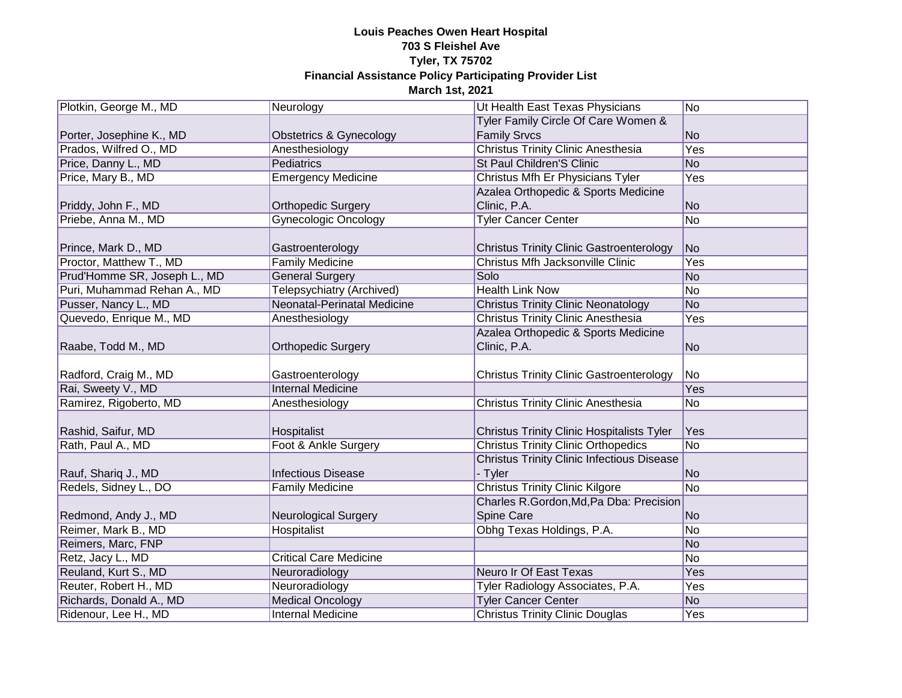| Plotkin, George M., MD       | Neurology                     | Ut Health East Texas Physicians                   | N <sub>o</sub> |
|------------------------------|-------------------------------|---------------------------------------------------|----------------|
|                              |                               | Tyler Family Circle Of Care Women &               |                |
| Porter, Josephine K., MD     | Obstetrics & Gynecology       | <b>Family Srvcs</b>                               | No             |
| Prados, Wilfred O., MD       | Anesthesiology                | <b>Christus Trinity Clinic Anesthesia</b>         | Yes            |
| Price, Danny L., MD          | Pediatrics                    | St Paul Children'S Clinic                         | N <sub>O</sub> |
| Price, Mary B., MD           | <b>Emergency Medicine</b>     | Christus Mfh Er Physicians Tyler                  | Yes            |
|                              |                               | Azalea Orthopedic & Sports Medicine               |                |
| Priddy, John F., MD          | <b>Orthopedic Surgery</b>     | Clinic, P.A.                                      | <b>No</b>      |
| Priebe, Anna M., MD          | <b>Gynecologic Oncology</b>   | <b>Tyler Cancer Center</b>                        | No             |
|                              |                               |                                                   |                |
| Prince, Mark D., MD          | Gastroenterology              | <b>Christus Trinity Clinic Gastroenterology</b>   | <b>No</b>      |
| Proctor, Matthew T., MD      | <b>Family Medicine</b>        | Christus Mfh Jacksonville Clinic                  | Yes            |
| Prud'Homme SR, Joseph L., MD | <b>General Surgery</b>        | Solo                                              | N <sub>o</sub> |
| Puri, Muhammad Rehan A., MD  | Telepsychiatry (Archived)     | <b>Health Link Now</b>                            | N <sub>o</sub> |
| Pusser, Nancy L., MD         | Neonatal-Perinatal Medicine   | <b>Christus Trinity Clinic Neonatology</b>        | <b>No</b>      |
| Quevedo, Enrique M., MD      | Anesthesiology                | <b>Christus Trinity Clinic Anesthesia</b>         | Yes            |
|                              |                               | Azalea Orthopedic & Sports Medicine               |                |
| Raabe, Todd M., MD           | <b>Orthopedic Surgery</b>     | Clinic, P.A.                                      | N <sub>o</sub> |
|                              |                               |                                                   |                |
| Radford, Craig M., MD        | Gastroenterology              | <b>Christus Trinity Clinic Gastroenterology</b>   | N <sub>o</sub> |
| Rai, Sweety V., MD           | <b>Internal Medicine</b>      |                                                   | Yes            |
| Ramirez, Rigoberto, MD       | Anesthesiology                | <b>Christus Trinity Clinic Anesthesia</b>         | No             |
|                              |                               |                                                   |                |
| Rashid, Saifur, MD           | Hospitalist                   | <b>Christus Trinity Clinic Hospitalists Tyler</b> | Yes            |
| Rath, Paul A., MD            | Foot & Ankle Surgery          | <b>Christus Trinity Clinic Orthopedics</b>        | N <sub>o</sub> |
|                              |                               | <b>Christus Trinity Clinic Infectious Disease</b> |                |
| Rauf, Shariq J., MD          | <b>Infectious Disease</b>     | - Tyler                                           | <b>No</b>      |
| Redels, Sidney L., DO        | <b>Family Medicine</b>        | <b>Christus Trinity Clinic Kilgore</b>            | No             |
|                              |                               | Charles R.Gordon, Md, Pa Dba: Precision           |                |
| Redmond, Andy J., MD         | <b>Neurological Surgery</b>   | Spine Care                                        | <b>No</b>      |
| Reimer, Mark B., MD          | Hospitalist                   | Obhg Texas Holdings, P.A.                         | No             |
| Reimers, Marc, FNP           |                               |                                                   | No             |
| Retz, Jacy L., MD            | <b>Critical Care Medicine</b> |                                                   | No             |
| Reuland, Kurt S., MD         | Neuroradiology                | <b>Neuro Ir Of East Texas</b>                     | Yes            |
| Reuter, Robert H., MD        | Neuroradiology                | Tyler Radiology Associates, P.A.                  | Yes            |
| Richards, Donald A., MD      | <b>Medical Oncology</b>       | <b>Tyler Cancer Center</b>                        | N <sub>o</sub> |
| Ridenour, Lee H., MD         | <b>Internal Medicine</b>      | <b>Christus Trinity Clinic Douglas</b>            | Yes            |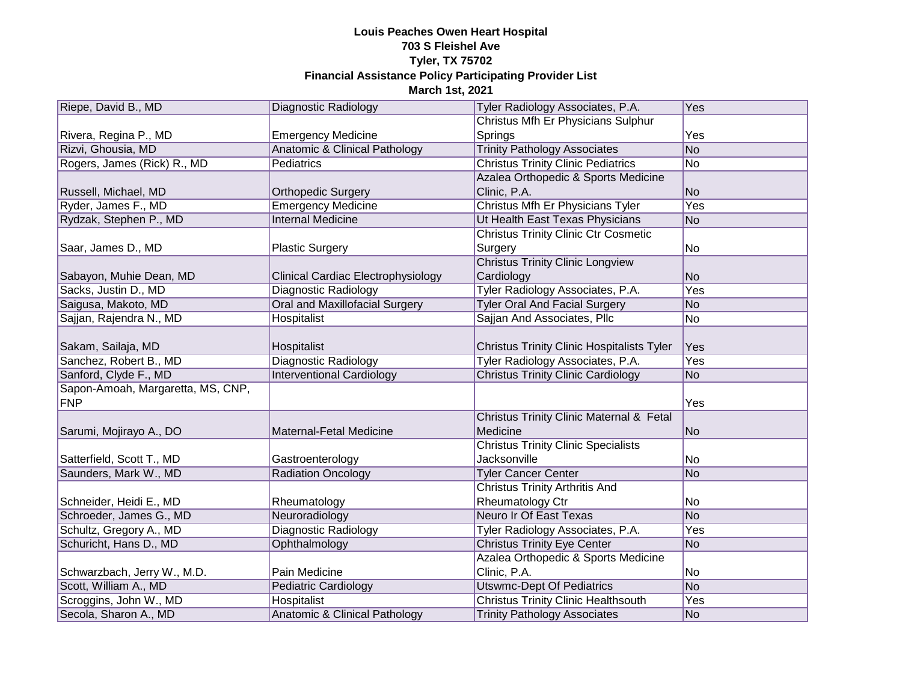| Riepe, David B., MD               | Diagnostic Radiology                     | Tyler Radiology Associates, P.A.                  | Yes       |
|-----------------------------------|------------------------------------------|---------------------------------------------------|-----------|
|                                   |                                          | Christus Mfh Er Physicians Sulphur                |           |
| Rivera, Regina P., MD             | <b>Emergency Medicine</b>                | Springs                                           | Yes       |
| Rizvi, Ghousia, MD                | <b>Anatomic &amp; Clinical Pathology</b> | <b>Trinity Pathology Associates</b>               | No        |
| Rogers, James (Rick) R., MD       | Pediatrics                               | <b>Christus Trinity Clinic Pediatrics</b>         | No        |
|                                   |                                          | Azalea Orthopedic & Sports Medicine               |           |
| Russell, Michael, MD              | <b>Orthopedic Surgery</b>                | Clinic, P.A.                                      | No        |
| Ryder, James F., MD               | <b>Emergency Medicine</b>                | Christus Mfh Er Physicians Tyler                  | Yes       |
| Rydzak, Stephen P., MD            | <b>Internal Medicine</b>                 | Ut Health East Texas Physicians                   | No        |
|                                   |                                          | <b>Christus Trinity Clinic Ctr Cosmetic</b>       |           |
| Saar, James D., MD                | <b>Plastic Surgery</b>                   | Surgery                                           | No        |
|                                   |                                          | <b>Christus Trinity Clinic Longview</b>           |           |
| Sabayon, Muhie Dean, MD           | Clinical Cardiac Electrophysiology       | Cardiology                                        | No        |
| Sacks, Justin D., MD              | <b>Diagnostic Radiology</b>              | Tyler Radiology Associates, P.A.                  | Yes       |
| Saigusa, Makoto, MD               | Oral and Maxillofacial Surgery           | <b>Tyler Oral And Facial Surgery</b>              | No        |
| Sajjan, Rajendra N., MD           | <b>Hospitalist</b>                       | Sajjan And Associates, Pllc                       | No        |
|                                   |                                          |                                                   |           |
| Sakam, Sailaja, MD                | Hospitalist                              | <b>Christus Trinity Clinic Hospitalists Tyler</b> | Yes       |
| Sanchez, Robert B., MD            | Diagnostic Radiology                     | Tyler Radiology Associates, P.A.                  | Yes       |
| Sanford, Clyde F., MD             | <b>Interventional Cardiology</b>         | <b>Christus Trinity Clinic Cardiology</b>         | <b>No</b> |
| Sapon-Amoah, Margaretta, MS, CNP, |                                          |                                                   |           |
| FNP                               |                                          |                                                   | Yes       |
|                                   |                                          | Christus Trinity Clinic Maternal & Fetal          |           |
| Sarumi, Mojirayo A., DO           | Maternal-Fetal Medicine                  | Medicine                                          | No        |
|                                   |                                          | <b>Christus Trinity Clinic Specialists</b>        |           |
| Satterfield, Scott T., MD         | Gastroenterology                         | <b>Jacksonville</b>                               | No        |
| Saunders, Mark W., MD             | <b>Radiation Oncology</b>                | <b>Tyler Cancer Center</b>                        | No        |
|                                   |                                          | <b>Christus Trinity Arthritis And</b>             |           |
| Schneider, Heidi E., MD           | Rheumatology                             | Rheumatology Ctr                                  | No        |
| Schroeder, James G., MD           | Neuroradiology                           | Neuro Ir Of East Texas                            | No        |
| Schultz, Gregory A., MD           | Diagnostic Radiology                     | Tyler Radiology Associates, P.A.                  | Yes       |
| Schuricht, Hans D., MD            | Ophthalmology                            | <b>Christus Trinity Eye Center</b>                | No        |
|                                   |                                          | Azalea Orthopedic & Sports Medicine               |           |
| Schwarzbach, Jerry W., M.D.       | Pain Medicine                            | Clinic, P.A.                                      | No        |
| Scott, William A., MD             | Pediatric Cardiology                     | <b>Utswmc-Dept Of Pediatrics</b>                  | No        |
| Scroggins, John W., MD            | Hospitalist                              | <b>Christus Trinity Clinic Healthsouth</b>        | Yes       |
| Secola, Sharon A., MD             | Anatomic & Clinical Pathology            | <b>Trinity Pathology Associates</b>               | No        |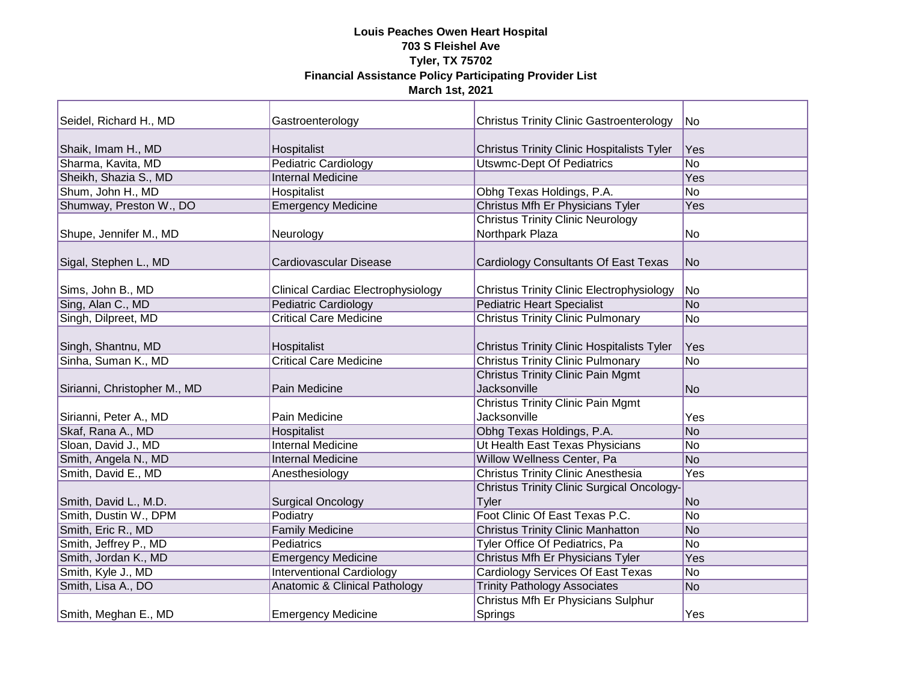| Seidel, Richard H., MD                    | Gastroenterology                             | <b>Christus Trinity Clinic Gastroenterology</b>                                               | No               |
|-------------------------------------------|----------------------------------------------|-----------------------------------------------------------------------------------------------|------------------|
| Shaik, Imam H., MD                        | Hospitalist                                  | <b>Christus Trinity Clinic Hospitalists Tyler</b>                                             | Yes              |
| Sharma, Kavita, MD                        | <b>Pediatric Cardiology</b>                  | <b>Utswmc-Dept Of Pediatrics</b>                                                              | $\overline{No}$  |
| Sheikh, Shazia S., MD                     | <b>Internal Medicine</b>                     |                                                                                               | Yes              |
| Shum, John H., MD                         | Hospitalist                                  | Obhg Texas Holdings, P.A.                                                                     | $\overline{No}$  |
| Shumway, Preston W., DO                   | <b>Emergency Medicine</b>                    | Christus Mfh Er Physicians Tyler                                                              | Yes              |
| Shupe, Jennifer M., MD                    | Neurology                                    | <b>Christus Trinity Clinic Neurology</b><br>Northpark Plaza                                   | No               |
| Sigal, Stephen L., MD                     | Cardiovascular Disease                       | Cardiology Consultants Of East Texas                                                          | No               |
| Sims, John B., MD                         | Clinical Cardiac Electrophysiology           | <b>Christus Trinity Clinic Electrophysiology</b>                                              | No               |
| Sing, Alan C., MD                         | <b>Pediatric Cardiology</b>                  | <b>Pediatric Heart Specialist</b>                                                             | N <sub>O</sub>   |
| Singh, Dilpreet, MD                       | <b>Critical Care Medicine</b>                | <b>Christus Trinity Clinic Pulmonary</b>                                                      | <b>No</b>        |
| Singh, Shantnu, MD<br>Sinha, Suman K., MD | Hospitalist<br><b>Critical Care Medicine</b> | <b>Christus Trinity Clinic Hospitalists Tyler</b><br><b>Christus Trinity Clinic Pulmonary</b> | Yes<br><b>No</b> |
| Sirianni, Christopher M., MD              | Pain Medicine                                | <b>Christus Trinity Clinic Pain Mgmt</b><br>Jacksonville                                      | N <sub>o</sub>   |
| Sirianni, Peter A., MD                    | Pain Medicine                                | <b>Christus Trinity Clinic Pain Mgmt</b><br>Jacksonville                                      | Yes              |
| Skaf, Rana A., MD                         | Hospitalist                                  | Obhg Texas Holdings, P.A.                                                                     | <b>No</b>        |
| Sloan, David J., MD                       | <b>Internal Medicine</b>                     | Ut Health East Texas Physicians                                                               | <b>No</b>        |
| Smith, Angela N., MD                      | <b>Internal Medicine</b>                     | Willow Wellness Center, Pa                                                                    | No               |
| Smith, David E., MD                       | Anesthesiology                               | <b>Christus Trinity Clinic Anesthesia</b>                                                     | Yes              |
| Smith, David L., M.D.                     | <b>Surgical Oncology</b>                     | <b>Christus Trinity Clinic Surgical Oncology-</b><br><b>Tyler</b>                             | No               |
| Smith, Dustin W., DPM                     | Podiatry                                     | Foot Clinic Of East Texas P.C.                                                                | No               |
| Smith, Eric R., MD                        | <b>Family Medicine</b>                       | <b>Christus Trinity Clinic Manhatton</b>                                                      | <b>No</b>        |
| Smith, Jeffrey P., MD                     | Pediatrics                                   | Tyler Office Of Pediatrics, Pa                                                                | No               |
| Smith, Jordan K., MD                      | <b>Emergency Medicine</b>                    | Christus Mfh Er Physicians Tyler                                                              | Yes              |
| Smith, Kyle J., MD                        | <b>Interventional Cardiology</b>             | <b>Cardiology Services Of East Texas</b>                                                      | No               |
| Smith, Lisa A., DO                        | Anatomic & Clinical Pathology                | <b>Trinity Pathology Associates</b>                                                           | <b>No</b>        |
| Smith, Meghan E., MD                      | <b>Emergency Medicine</b>                    | Christus Mfh Er Physicians Sulphur<br>Springs                                                 | Yes              |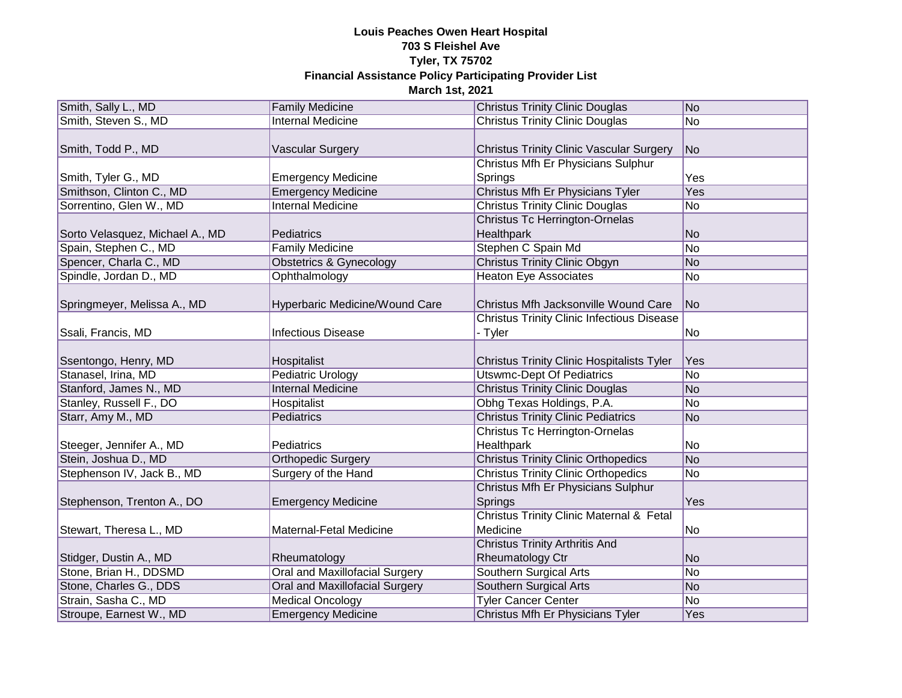| Smith, Sally L., MD             | <b>Family Medicine</b>                | <b>Christus Trinity Clinic Douglas</b>                       | No             |
|---------------------------------|---------------------------------------|--------------------------------------------------------------|----------------|
| Smith, Steven S., MD            | <b>Internal Medicine</b>              | <b>Christus Trinity Clinic Douglas</b>                       | No             |
| Smith, Todd P., MD              | Vascular Surgery                      | <b>Christus Trinity Clinic Vascular Surgery</b>              | N <sub>o</sub> |
| Smith, Tyler G., MD             | <b>Emergency Medicine</b>             | Christus Mfh Er Physicians Sulphur<br>Springs                | Yes            |
| Smithson, Clinton C., MD        | <b>Emergency Medicine</b>             | Christus Mfh Er Physicians Tyler                             | <b>Yes</b>     |
| Sorrentino, Glen W., MD         | <b>Internal Medicine</b>              | <b>Christus Trinity Clinic Douglas</b>                       | <b>No</b>      |
| Sorto Velasquez, Michael A., MD | Pediatrics                            | <b>Christus Tc Herrington-Ornelas</b><br>Healthpark          | <b>No</b>      |
| Spain, Stephen C., MD           | <b>Family Medicine</b>                | Stephen C Spain Md                                           | No             |
| Spencer, Charla C., MD          | <b>Obstetrics &amp; Gynecology</b>    | <b>Christus Trinity Clinic Obgyn</b>                         | No             |
| Spindle, Jordan D., MD          | Ophthalmology                         | <b>Heaton Eye Associates</b>                                 | No             |
| Springmeyer, Melissa A., MD     | Hyperbaric Medicine/Wound Care        | Christus Mfh Jacksonville Wound Care                         | N <sub>o</sub> |
| Ssali, Francis, MD              | <b>Infectious Disease</b>             | <b>Christus Trinity Clinic Infectious Disease</b><br>- Tyler | No             |
| Ssentongo, Henry, MD            | Hospitalist                           | <b>Christus Trinity Clinic Hospitalists Tyler</b>            | Yes            |
| Stanasel, Irina, MD             | <b>Pediatric Urology</b>              | <b>Utswmc-Dept Of Pediatrics</b>                             | <b>No</b>      |
| Stanford, James N., MD          | <b>Internal Medicine</b>              | <b>Christus Trinity Clinic Douglas</b>                       | No             |
| Stanley, Russell F., DO         | Hospitalist                           | Obhg Texas Holdings, P.A.                                    | No             |
| Starr, Amy M., MD               | Pediatrics                            | <b>Christus Trinity Clinic Pediatrics</b>                    | No             |
| Steeger, Jennifer A., MD        | Pediatrics                            | <b>Christus Tc Herrington-Ornelas</b><br>Healthpark          | No             |
| Stein, Joshua D., MD            | <b>Orthopedic Surgery</b>             | <b>Christus Trinity Clinic Orthopedics</b>                   | No             |
| Stephenson IV, Jack B., MD      | Surgery of the Hand                   | <b>Christus Trinity Clinic Orthopedics</b>                   | N <sub>o</sub> |
| Stephenson, Trenton A., DO      | <b>Emergency Medicine</b>             | Christus Mfh Er Physicians Sulphur<br>Springs                | Yes            |
| Stewart, Theresa L., MD         | Maternal-Fetal Medicine               | Christus Trinity Clinic Maternal & Fetal<br>Medicine         | No             |
| Stidger, Dustin A., MD          | Rheumatology                          | <b>Christus Trinity Arthritis And</b><br>Rheumatology Ctr    | <b>No</b>      |
| Stone, Brian H., DDSMD          | Oral and Maxillofacial Surgery        | Southern Surgical Arts                                       | No             |
| Stone, Charles G., DDS          | <b>Oral and Maxillofacial Surgery</b> | Southern Surgical Arts                                       | No             |
| Strain, Sasha C., MD            | <b>Medical Oncology</b>               | <b>Tyler Cancer Center</b>                                   | N <sub>o</sub> |
| Stroupe, Earnest W., MD         | <b>Emergency Medicine</b>             | Christus Mfh Er Physicians Tyler                             | Yes            |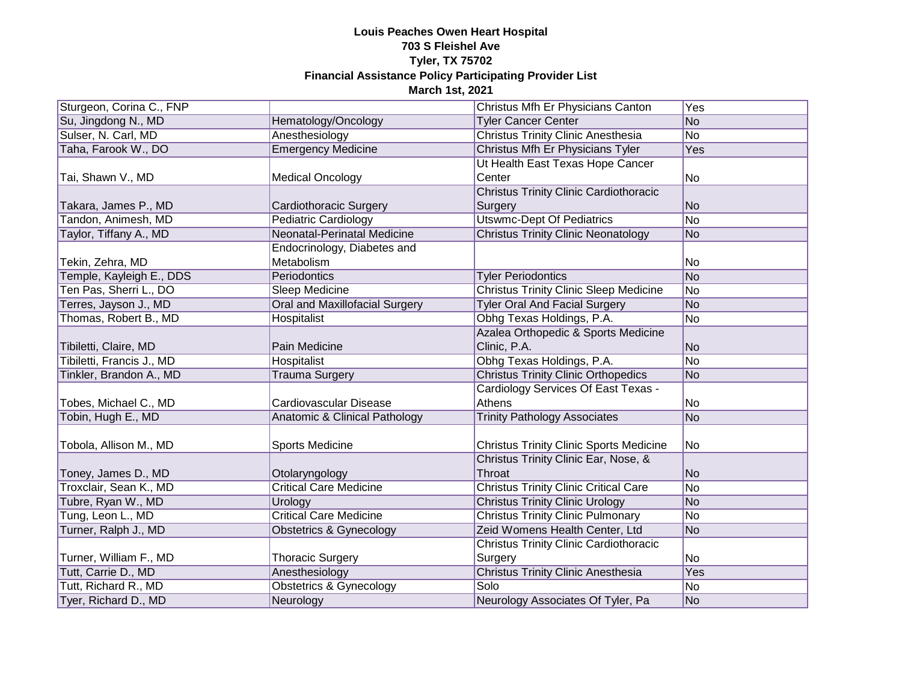| Sturgeon, Corina C., FNP  |                                    | Christus Mfh Er Physicians Canton              | Yes             |
|---------------------------|------------------------------------|------------------------------------------------|-----------------|
| Su, Jingdong N., MD       | Hematology/Oncology                | <b>Tyler Cancer Center</b>                     | $\overline{No}$ |
| Sulser, N. Carl, MD       | Anesthesiology                     | <b>Christus Trinity Clinic Anesthesia</b>      | N <sub>o</sub>  |
| Taha, Farook W., DO       | <b>Emergency Medicine</b>          | Christus Mfh Er Physicians Tyler               | <b>Yes</b>      |
|                           |                                    | Ut Health East Texas Hope Cancer               |                 |
| Tai, Shawn V., MD         | <b>Medical Oncology</b>            | Center                                         | No              |
|                           |                                    | <b>Christus Trinity Clinic Cardiothoracic</b>  |                 |
| Takara, James P., MD      | Cardiothoracic Surgery             | Surgery                                        | <b>No</b>       |
| Tandon, Animesh, MD       | <b>Pediatric Cardiology</b>        | <b>Utswmc-Dept Of Pediatrics</b>               | N <sub>o</sub>  |
| Taylor, Tiffany A., MD    | Neonatal-Perinatal Medicine        | <b>Christus Trinity Clinic Neonatology</b>     | <b>No</b>       |
|                           | Endocrinology, Diabetes and        |                                                |                 |
| Tekin, Zehra, MD          | Metabolism                         |                                                | No              |
| Temple, Kayleigh E., DDS  | Periodontics                       | <b>Tyler Periodontics</b>                      | No              |
| Ten Pas, Sherri L., DO    | Sleep Medicine                     | <b>Christus Trinity Clinic Sleep Medicine</b>  | No              |
| Terres, Jayson J., MD     | Oral and Maxillofacial Surgery     | <b>Tyler Oral And Facial Surgery</b>           | No              |
| Thomas, Robert B., MD     | Hospitalist                        | Obhg Texas Holdings, P.A.                      | N <sub>o</sub>  |
|                           |                                    | Azalea Orthopedic & Sports Medicine            |                 |
| Tibiletti, Claire, MD     | Pain Medicine                      | Clinic, P.A.                                   | N <sub>o</sub>  |
| Tibiletti, Francis J., MD | <b>Hospitalist</b>                 | Obhg Texas Holdings, P.A.                      | N <sub>o</sub>  |
| Tinkler, Brandon A., MD   | <b>Trauma Surgery</b>              | <b>Christus Trinity Clinic Orthopedics</b>     | N <sub>o</sub>  |
|                           |                                    | Cardiology Services Of East Texas -            |                 |
| Tobes, Michael C., MD     | Cardiovascular Disease             | Athens                                         | N <sub>o</sub>  |
| Tobin, Hugh E., MD        | Anatomic & Clinical Pathology      | <b>Trinity Pathology Associates</b>            | No              |
|                           |                                    |                                                |                 |
| Tobola, Allison M., MD    | Sports Medicine                    | <b>Christus Trinity Clinic Sports Medicine</b> | No              |
|                           |                                    | Christus Trinity Clinic Ear, Nose, &           |                 |
| Toney, James D., MD       | Otolaryngology                     | Throat                                         | No              |
| Troxclair, Sean K., MD    | <b>Critical Care Medicine</b>      | <b>Christus Trinity Clinic Critical Care</b>   | No              |
| Tubre, Ryan W., MD        | Urology                            | <b>Christus Trinity Clinic Urology</b>         | N <sub>o</sub>  |
| Tung, Leon L., MD         | <b>Critical Care Medicine</b>      | <b>Christus Trinity Clinic Pulmonary</b>       | N <sub>o</sub>  |
| Turner, Ralph J., MD      | <b>Obstetrics &amp; Gynecology</b> | Zeid Womens Health Center, Ltd                 | N <sub>o</sub>  |
|                           |                                    | <b>Christus Trinity Clinic Cardiothoracic</b>  |                 |
| Turner, William F., MD    | <b>Thoracic Surgery</b>            | Surgery                                        | No              |
| Tutt, Carrie D., MD       | Anesthesiology                     | <b>Christus Trinity Clinic Anesthesia</b>      | <b>Yes</b>      |
| Tutt, Richard R., MD      | <b>Obstetrics &amp; Gynecology</b> | Solo                                           | No              |
| Tyer, Richard D., MD      | Neurology                          | Neurology Associates Of Tyler, Pa              | No              |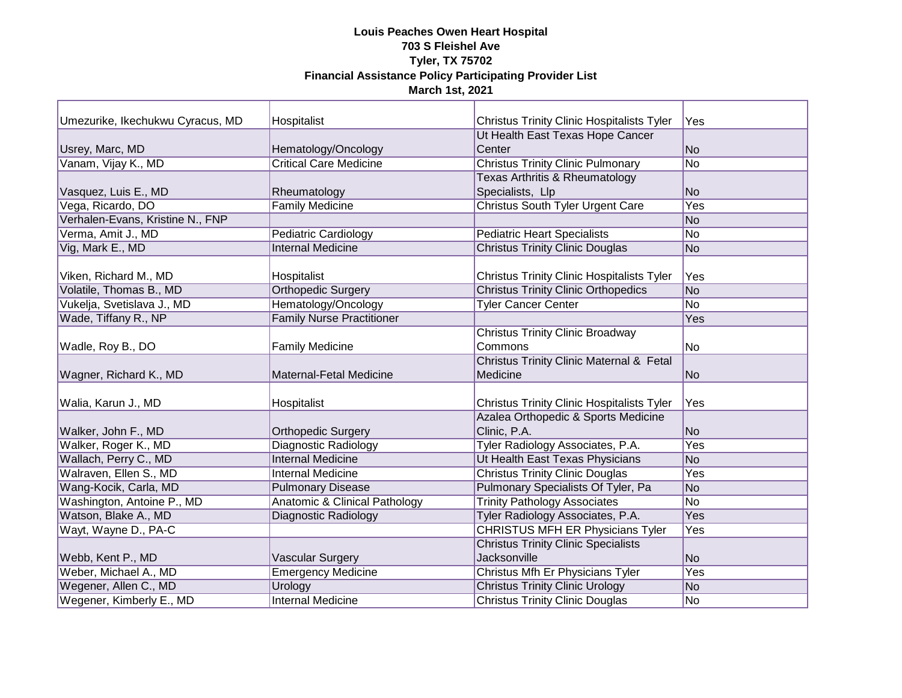| Umezurike, Ikechukwu Cyracus, MD | Hospitalist                              | Christus Trinity Clinic Hospitalists Tyler        | Yes             |
|----------------------------------|------------------------------------------|---------------------------------------------------|-----------------|
|                                  |                                          | Ut Health East Texas Hope Cancer                  |                 |
| Usrey, Marc, MD                  | Hematology/Oncology                      | Center                                            | <b>No</b>       |
| Vanam, Vijay K., MD              | <b>Critical Care Medicine</b>            | <b>Christus Trinity Clinic Pulmonary</b>          | No              |
|                                  |                                          | Texas Arthritis & Rheumatology                    |                 |
| Vasquez, Luis E., MD             | Rheumatology                             | Specialists, Llp                                  | <b>No</b>       |
| Vega, Ricardo, DO                | <b>Family Medicine</b>                   | Christus South Tyler Urgent Care                  | Yes             |
| Verhalen-Evans, Kristine N., FNP |                                          |                                                   | <b>No</b>       |
| Verma, Amit J., MD               | Pediatric Cardiology                     | <b>Pediatric Heart Specialists</b>                | <b>No</b>       |
| Vig, Mark E., MD                 | <b>Internal Medicine</b>                 | <b>Christus Trinity Clinic Douglas</b>            | <b>No</b>       |
|                                  |                                          |                                                   |                 |
| Viken, Richard M., MD            | Hospitalist                              | <b>Christus Trinity Clinic Hospitalists Tyler</b> | Yes             |
| Volatile, Thomas B., MD          | <b>Orthopedic Surgery</b>                | <b>Christus Trinity Clinic Orthopedics</b>        | $\overline{No}$ |
| Vukelja, Svetislava J., MD       | Hematology/Oncology                      | <b>Tyler Cancer Center</b>                        | <b>No</b>       |
| Wade, Tiffany R., NP             | <b>Family Nurse Practitioner</b>         |                                                   | Yes             |
|                                  |                                          | <b>Christus Trinity Clinic Broadway</b>           |                 |
| Wadle, Roy B., DO                | <b>Family Medicine</b>                   | Commons                                           | No              |
|                                  |                                          | Christus Trinity Clinic Maternal & Fetal          |                 |
| Wagner, Richard K., MD           | Maternal-Fetal Medicine                  | Medicine                                          | No              |
|                                  |                                          |                                                   |                 |
| Walia, Karun J., MD              | Hospitalist                              | <b>Christus Trinity Clinic Hospitalists Tyler</b> | Yes             |
|                                  |                                          | Azalea Orthopedic & Sports Medicine               |                 |
| Walker, John F., MD              | <b>Orthopedic Surgery</b>                | Clinic, P.A.                                      | <b>No</b>       |
| Walker, Roger K., MD             | <b>Diagnostic Radiology</b>              | Tyler Radiology Associates, P.A.                  | <b>Yes</b>      |
| Wallach, Perry C., MD            | <b>Internal Medicine</b>                 | Ut Health East Texas Physicians                   | <b>No</b>       |
| Walraven, Ellen S., MD           | Internal Medicine                        | <b>Christus Trinity Clinic Douglas</b>            | Yes             |
| Wang-Kocik, Carla, MD            | <b>Pulmonary Disease</b>                 | Pulmonary Specialists Of Tyler, Pa                | <b>No</b>       |
| Washington, Antoine P., MD       | <b>Anatomic &amp; Clinical Pathology</b> | <b>Trinity Pathology Associates</b>               | No              |
| Watson, Blake A., MD             | Diagnostic Radiology                     | Tyler Radiology Associates, P.A.                  | Yes             |
| Wayt, Wayne D., PA-C             |                                          | <b>CHRISTUS MFH ER Physicians Tyler</b>           | Yes             |
|                                  |                                          | <b>Christus Trinity Clinic Specialists</b>        |                 |
| Webb, Kent P., MD                | <b>Vascular Surgery</b>                  | Jacksonville                                      | <b>No</b>       |
| Weber, Michael A., MD            | <b>Emergency Medicine</b>                | Christus Mfh Er Physicians Tyler                  | Yes             |
| Wegener, Allen C., MD            | Urology                                  | <b>Christus Trinity Clinic Urology</b>            | No              |
| Wegener, Kimberly E., MD         | <b>Internal Medicine</b>                 | <b>Christus Trinity Clinic Douglas</b>            | No              |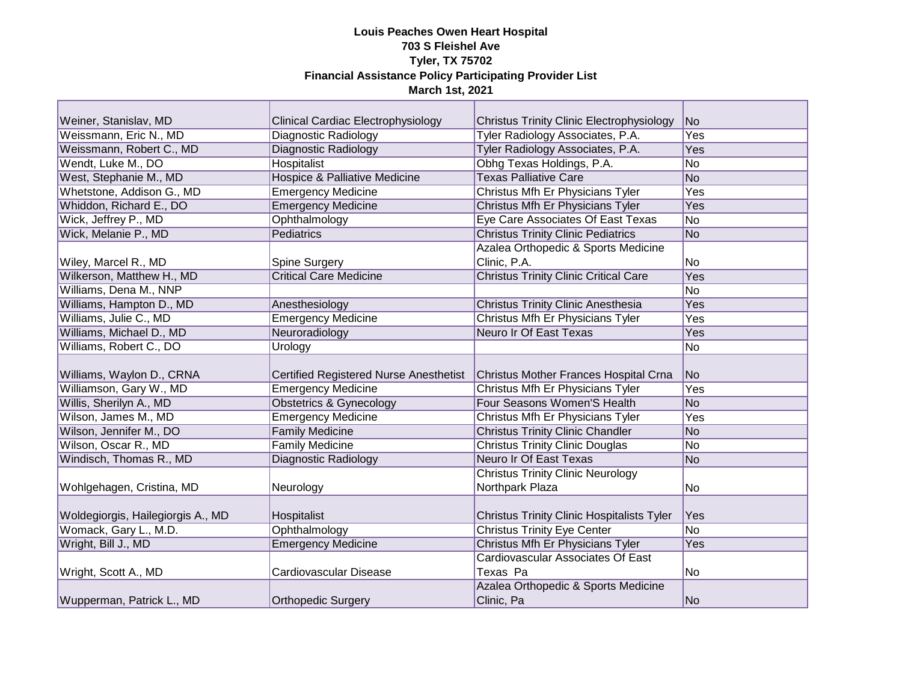| Weiner, Stanislav, MD                        | <b>Clinical Cardiac Electrophysiology</b>     | <b>Christus Trinity Clinic Electrophysiology</b>                                        | <b>No</b>       |
|----------------------------------------------|-----------------------------------------------|-----------------------------------------------------------------------------------------|-----------------|
| Weissmann, Eric N., MD                       | Diagnostic Radiology                          | Tyler Radiology Associates, P.A.                                                        | <b>Yes</b>      |
| Weissmann, Robert C., MD                     | Diagnostic Radiology                          | Tyler Radiology Associates, P.A.                                                        | <b>Yes</b>      |
| Wendt, Luke M., DO                           | <b>Hospitalist</b>                            | Obhg Texas Holdings, P.A.                                                               | <b>No</b>       |
| West, Stephanie M., MD                       | <b>Hospice &amp; Palliative Medicine</b>      | <b>Texas Palliative Care</b>                                                            | N <sub>O</sub>  |
| Whetstone, Addison G., MD                    | <b>Emergency Medicine</b>                     | Christus Mfh Er Physicians Tyler                                                        | Yes             |
| Whiddon, Richard E., DO                      | <b>Emergency Medicine</b>                     | Christus Mfh Er Physicians Tyler                                                        | Yes             |
| Wick, Jeffrey P., MD                         | Ophthalmology                                 | Eye Care Associates Of East Texas                                                       | $\overline{No}$ |
| Wick, Melanie P., MD                         | Pediatrics                                    | <b>Christus Trinity Clinic Pediatrics</b>                                               | No              |
|                                              |                                               | Azalea Orthopedic & Sports Medicine                                                     |                 |
| Wiley, Marcel R., MD                         | Spine Surgery                                 | Clinic, P.A.                                                                            | No              |
| Wilkerson, Matthew H., MD                    | <b>Critical Care Medicine</b>                 | <b>Christus Trinity Clinic Critical Care</b>                                            | Yes             |
| Williams, Dena M., NNP                       |                                               |                                                                                         | <b>No</b>       |
| Williams, Hampton D., MD                     | Anesthesiology                                | <b>Christus Trinity Clinic Anesthesia</b>                                               | Yes             |
| Williams, Julie C., MD                       | <b>Emergency Medicine</b>                     | Christus Mfh Er Physicians Tyler                                                        | Yes             |
| Williams, Michael D., MD                     | Neuroradiology                                | Neuro Ir Of East Texas                                                                  | <b>Yes</b>      |
| Williams, Robert C., DO                      | Urology                                       |                                                                                         | <b>No</b>       |
| Williams, Waylon D., CRNA                    | <b>Certified Registered Nurse Anesthetist</b> | Christus Mother Frances Hospital Crna                                                   | No              |
| Williamson, Gary W., MD                      | <b>Emergency Medicine</b>                     | Christus Mfh Er Physicians Tyler                                                        | Yes             |
| Willis, Sherilyn A., MD                      | <b>Obstetrics &amp; Gynecology</b>            | Four Seasons Women'S Health                                                             | <b>No</b>       |
| Wilson, James M., MD                         | <b>Emergency Medicine</b>                     | Christus Mfh Er Physicians Tyler                                                        | Yes             |
| Wilson, Jennifer M., DO                      | <b>Family Medicine</b>                        | <b>Christus Trinity Clinic Chandler</b>                                                 | $\overline{No}$ |
| Wilson, Oscar R., MD                         | <b>Family Medicine</b>                        | <b>Christus Trinity Clinic Douglas</b>                                                  | $\overline{No}$ |
| Windisch, Thomas R., MD                      | Diagnostic Radiology                          | <b>Neuro Ir Of East Texas</b>                                                           | No              |
|                                              |                                               | <b>Christus Trinity Clinic Neurology</b>                                                |                 |
| Wohlgehagen, Cristina, MD                    | Neurology                                     | Northpark Plaza                                                                         | No              |
|                                              |                                               |                                                                                         |                 |
|                                              |                                               |                                                                                         |                 |
|                                              | Hospitalist                                   |                                                                                         | Yes             |
| Woldegiorgis, Hailegiorgis A., MD            |                                               | <b>Christus Trinity Clinic Hospitalists Tyler</b><br><b>Christus Trinity Eye Center</b> | <b>No</b>       |
| Womack, Gary L., M.D.<br>Wright, Bill J., MD | Ophthalmology<br><b>Emergency Medicine</b>    | Christus Mfh Er Physicians Tyler                                                        | Yes             |
|                                              |                                               | Cardiovascular Associates Of East                                                       |                 |
|                                              | Cardiovascular Disease                        | Texas Pa                                                                                | No              |
| Wright, Scott A., MD                         |                                               | Azalea Orthopedic & Sports Medicine                                                     |                 |